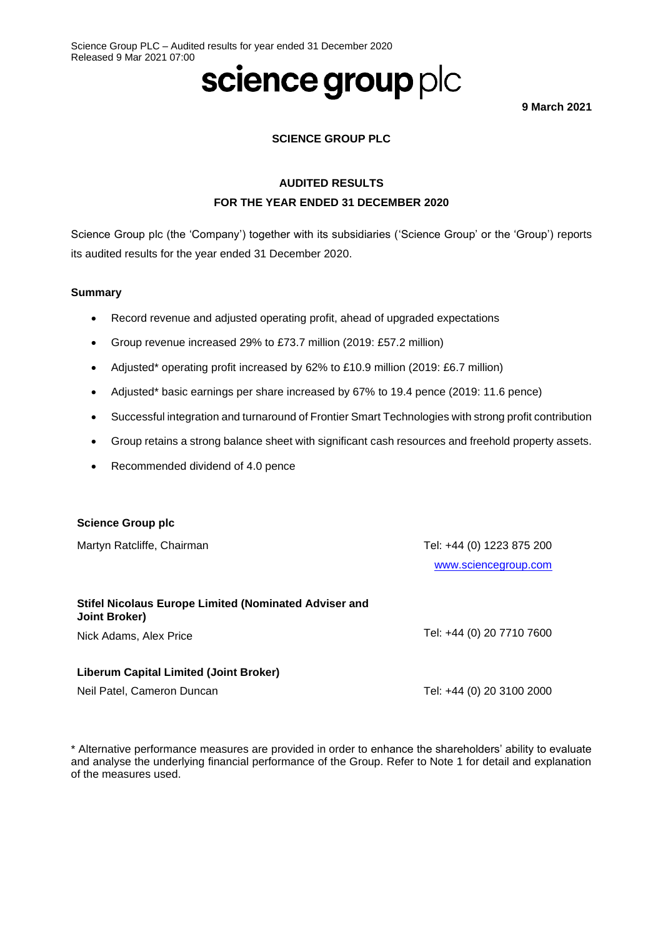# science group plc

**9 March 2021**

### **SCIENCE GROUP PLC**

# **AUDITED RESULTS FOR THE YEAR ENDED 31 DECEMBER 2020**

Science Group plc (the 'Company') together with its subsidiaries ('Science Group' or the 'Group') reports its audited results for the year ended 31 December 2020.

#### **Summary**

- Record revenue and adjusted operating profit, ahead of upgraded expectations
- Group revenue increased 29% to £73.7 million (2019: £57.2 million)
- Adjusted\* operating profit increased by 62% to £10.9 million (2019: £6.7 million)
- Adjusted\* basic earnings per share increased by 67% to 19.4 pence (2019: 11.6 pence)
- Successful integration and turnaround of Frontier Smart Technologies with strong profit contribution
- Group retains a strong balance sheet with significant cash resources and freehold property assets.
- Recommended dividend of 4.0 pence

#### **Science Group plc**

Martyn Ratcliffe, Chairman **Tel: +44 (0) 1223 875 200** [www.sciencegroup.com](http://www.sciencegroup.com/)

# **Stifel Nicolaus Europe Limited (Nominated Adviser and Joint Broker)**

Nick Adams, Alex Price Tel: +44 (0) 20 7710 7600

#### **Liberum Capital Limited (Joint Broker)**

Neil Patel, Cameron Duncan **Tel: +44 (0) 20 3100 2000** 

\* Alternative performance measures are provided in order to enhance the shareholders' ability to evaluate and analyse the underlying financial performance of the Group. Refer to Note 1 for detail and explanation of the measures used.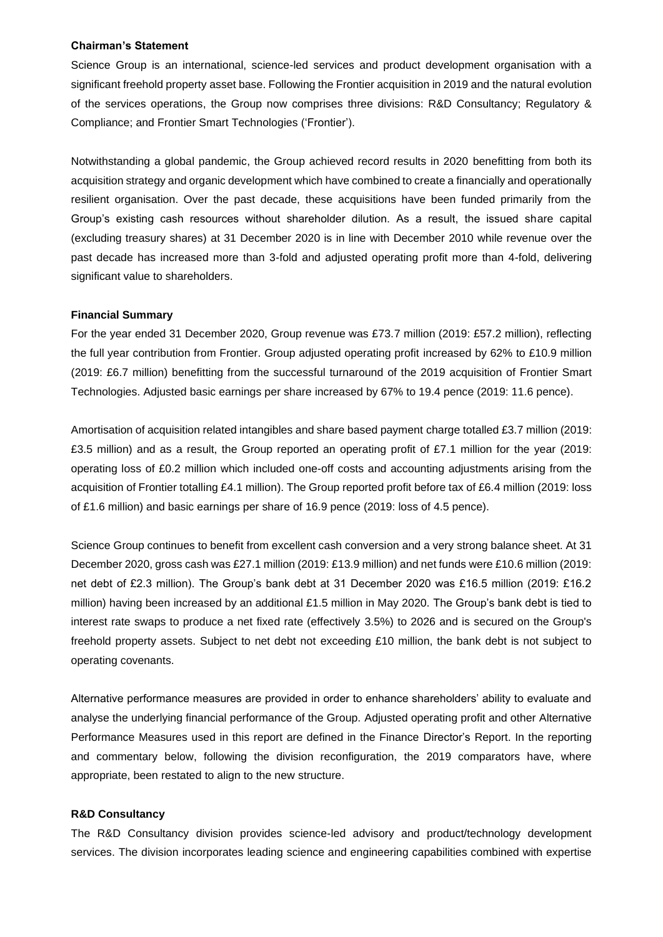#### **Chairman's Statement**

Science Group is an international, science-led services and product development organisation with a significant freehold property asset base. Following the Frontier acquisition in 2019 and the natural evolution of the services operations, the Group now comprises three divisions: R&D Consultancy; Regulatory & Compliance; and Frontier Smart Technologies ('Frontier').

Notwithstanding a global pandemic, the Group achieved record results in 2020 benefitting from both its acquisition strategy and organic development which have combined to create a financially and operationally resilient organisation. Over the past decade, these acquisitions have been funded primarily from the Group's existing cash resources without shareholder dilution. As a result, the issued share capital (excluding treasury shares) at 31 December 2020 is in line with December 2010 while revenue over the past decade has increased more than 3-fold and adjusted operating profit more than 4-fold, delivering significant value to shareholders.

#### **Financial Summary**

For the year ended 31 December 2020, Group revenue was £73.7 million (2019: £57.2 million), reflecting the full year contribution from Frontier. Group adjusted operating profit increased by 62% to £10.9 million (2019: £6.7 million) benefitting from the successful turnaround of the 2019 acquisition of Frontier Smart Technologies. Adjusted basic earnings per share increased by 67% to 19.4 pence (2019: 11.6 pence).

Amortisation of acquisition related intangibles and share based payment charge totalled £3.7 million (2019: £3.5 million) and as a result, the Group reported an operating profit of £7.1 million for the year (2019: operating loss of £0.2 million which included one-off costs and accounting adjustments arising from the acquisition of Frontier totalling £4.1 million). The Group reported profit before tax of £6.4 million (2019: loss of £1.6 million) and basic earnings per share of 16.9 pence (2019: loss of 4.5 pence).

Science Group continues to benefit from excellent cash conversion and a very strong balance sheet. At 31 December 2020, gross cash was £27.1 million (2019: £13.9 million) and net funds were £10.6 million (2019: net debt of £2.3 million). The Group's bank debt at 31 December 2020 was £16.5 million (2019: £16.2 million) having been increased by an additional £1.5 million in May 2020. The Group's bank debt is tied to interest rate swaps to produce a net fixed rate (effectively 3.5%) to 2026 and is secured on the Group's freehold property assets. Subject to net debt not exceeding £10 million, the bank debt is not subject to operating covenants.

Alternative performance measures are provided in order to enhance shareholders' ability to evaluate and analyse the underlying financial performance of the Group. Adjusted operating profit and other Alternative Performance Measures used in this report are defined in the Finance Director's Report. In the reporting and commentary below, following the division reconfiguration, the 2019 comparators have, where appropriate, been restated to align to the new structure.

#### **R&D Consultancy**

The R&D Consultancy division provides science-led advisory and product/technology development services. The division incorporates leading science and engineering capabilities combined with expertise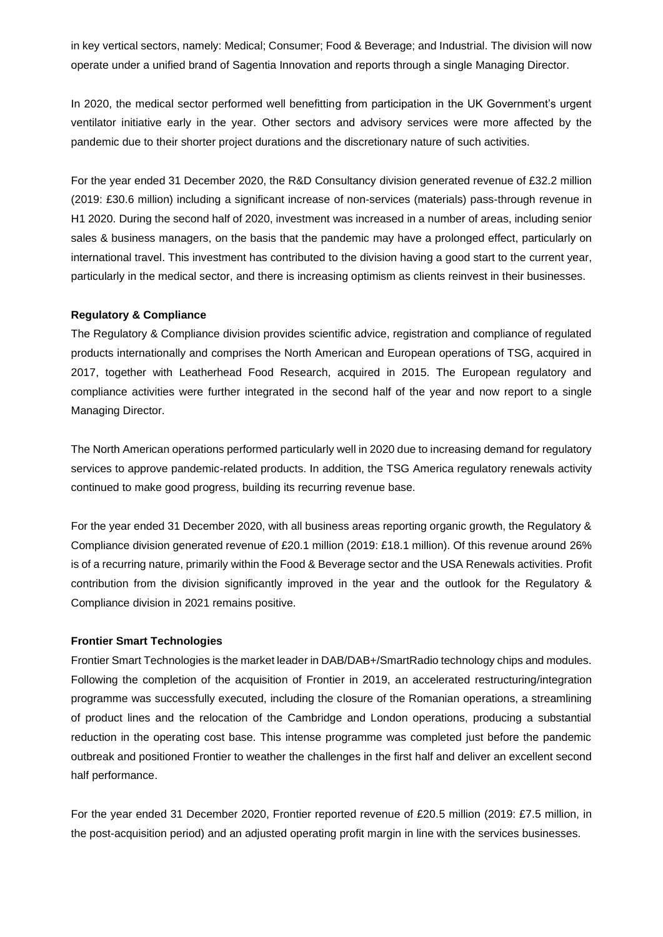in key vertical sectors, namely: Medical; Consumer; Food & Beverage; and Industrial. The division will now operate under a unified brand of Sagentia Innovation and reports through a single Managing Director.

In 2020, the medical sector performed well benefitting from participation in the UK Government's urgent ventilator initiative early in the year. Other sectors and advisory services were more affected by the pandemic due to their shorter project durations and the discretionary nature of such activities.

For the year ended 31 December 2020, the R&D Consultancy division generated revenue of £32.2 million (2019: £30.6 million) including a significant increase of non-services (materials) pass-through revenue in H1 2020. During the second half of 2020, investment was increased in a number of areas, including senior sales & business managers, on the basis that the pandemic may have a prolonged effect, particularly on international travel. This investment has contributed to the division having a good start to the current year, particularly in the medical sector, and there is increasing optimism as clients reinvest in their businesses.

#### **Regulatory & Compliance**

The Regulatory & Compliance division provides scientific advice, registration and compliance of regulated products internationally and comprises the North American and European operations of TSG, acquired in 2017, together with Leatherhead Food Research, acquired in 2015. The European regulatory and compliance activities were further integrated in the second half of the year and now report to a single Managing Director.

The North American operations performed particularly well in 2020 due to increasing demand for regulatory services to approve pandemic-related products. In addition, the TSG America regulatory renewals activity continued to make good progress, building its recurring revenue base.

For the year ended 31 December 2020, with all business areas reporting organic growth, the Regulatory & Compliance division generated revenue of £20.1 million (2019: £18.1 million). Of this revenue around 26% is of a recurring nature, primarily within the Food & Beverage sector and the USA Renewals activities. Profit contribution from the division significantly improved in the year and the outlook for the Regulatory & Compliance division in 2021 remains positive.

#### **Frontier Smart Technologies**

Frontier Smart Technologies is the market leader in DAB/DAB+/SmartRadio technology chips and modules. Following the completion of the acquisition of Frontier in 2019, an accelerated restructuring/integration programme was successfully executed, including the closure of the Romanian operations, a streamlining of product lines and the relocation of the Cambridge and London operations, producing a substantial reduction in the operating cost base. This intense programme was completed just before the pandemic outbreak and positioned Frontier to weather the challenges in the first half and deliver an excellent second half performance.

For the year ended 31 December 2020, Frontier reported revenue of £20.5 million (2019: £7.5 million, in the post-acquisition period) and an adjusted operating profit margin in line with the services businesses.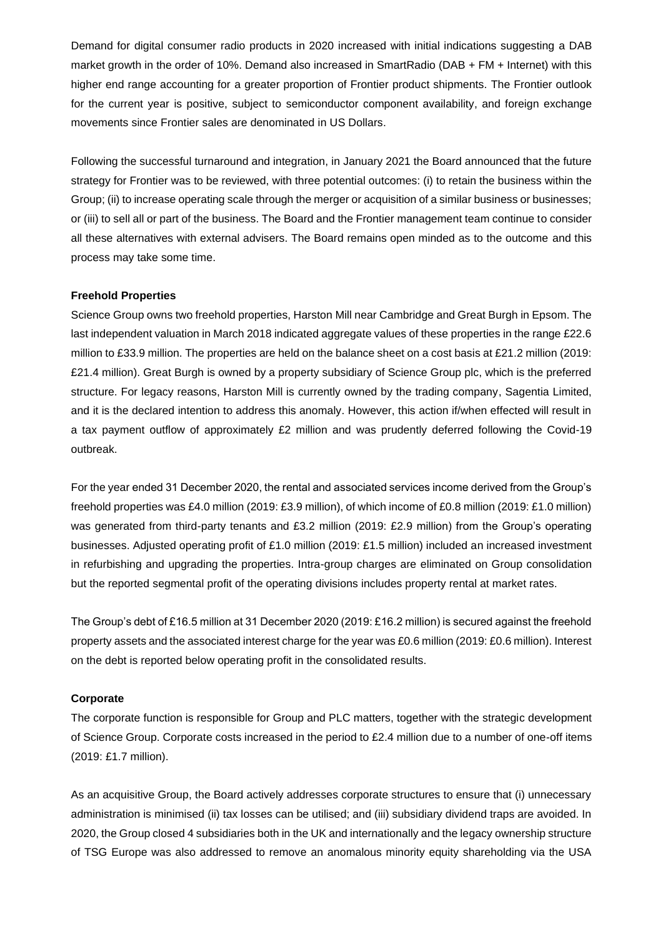Demand for digital consumer radio products in 2020 increased with initial indications suggesting a DAB market growth in the order of 10%. Demand also increased in SmartRadio (DAB + FM + Internet) with this higher end range accounting for a greater proportion of Frontier product shipments. The Frontier outlook for the current year is positive, subject to semiconductor component availability, and foreign exchange movements since Frontier sales are denominated in US Dollars.

Following the successful turnaround and integration, in January 2021 the Board announced that the future strategy for Frontier was to be reviewed, with three potential outcomes: (i) to retain the business within the Group; (ii) to increase operating scale through the merger or acquisition of a similar business or businesses; or (iii) to sell all or part of the business. The Board and the Frontier management team continue to consider all these alternatives with external advisers. The Board remains open minded as to the outcome and this process may take some time.

#### **Freehold Properties**

Science Group owns two freehold properties, Harston Mill near Cambridge and Great Burgh in Epsom. The last independent valuation in March 2018 indicated aggregate values of these properties in the range £22.6 million to £33.9 million. The properties are held on the balance sheet on a cost basis at £21.2 million (2019: £21.4 million). Great Burgh is owned by a property subsidiary of Science Group plc, which is the preferred structure. For legacy reasons, Harston Mill is currently owned by the trading company, Sagentia Limited, and it is the declared intention to address this anomaly. However, this action if/when effected will result in a tax payment outflow of approximately £2 million and was prudently deferred following the Covid-19 outbreak.

For the year ended 31 December 2020, the rental and associated services income derived from the Group's freehold properties was £4.0 million (2019: £3.9 million), of which income of £0.8 million (2019: £1.0 million) was generated from third-party tenants and £3.2 million (2019: £2.9 million) from the Group's operating businesses. Adjusted operating profit of £1.0 million (2019: £1.5 million) included an increased investment in refurbishing and upgrading the properties. Intra-group charges are eliminated on Group consolidation but the reported segmental profit of the operating divisions includes property rental at market rates.

The Group's debt of £16.5 million at 31 December 2020 (2019: £16.2 million) is secured against the freehold property assets and the associated interest charge for the year was £0.6 million (2019: £0.6 million). Interest on the debt is reported below operating profit in the consolidated results.

#### **Corporate**

The corporate function is responsible for Group and PLC matters, together with the strategic development of Science Group. Corporate costs increased in the period to £2.4 million due to a number of one-off items (2019: £1.7 million).

As an acquisitive Group, the Board actively addresses corporate structures to ensure that (i) unnecessary administration is minimised (ii) tax losses can be utilised; and (iii) subsidiary dividend traps are avoided. In 2020, the Group closed 4 subsidiaries both in the UK and internationally and the legacy ownership structure of TSG Europe was also addressed to remove an anomalous minority equity shareholding via the USA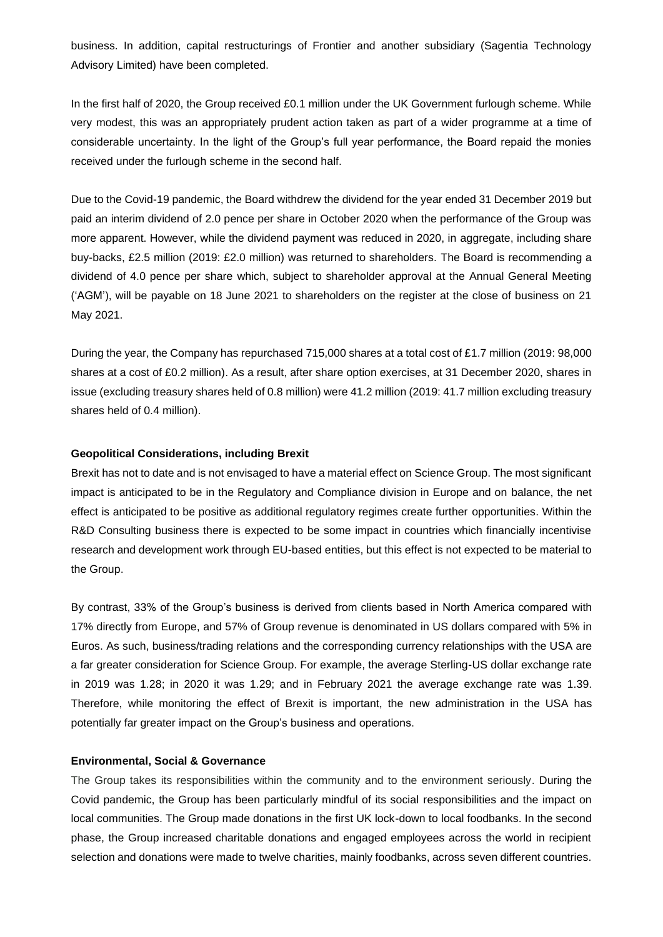business. In addition, capital restructurings of Frontier and another subsidiary (Sagentia Technology Advisory Limited) have been completed.

In the first half of 2020, the Group received £0.1 million under the UK Government furlough scheme. While very modest, this was an appropriately prudent action taken as part of a wider programme at a time of considerable uncertainty. In the light of the Group's full year performance, the Board repaid the monies received under the furlough scheme in the second half.

Due to the Covid-19 pandemic, the Board withdrew the dividend for the year ended 31 December 2019 but paid an interim dividend of 2.0 pence per share in October 2020 when the performance of the Group was more apparent. However, while the dividend payment was reduced in 2020, in aggregate, including share buy-backs, £2.5 million (2019: £2.0 million) was returned to shareholders. The Board is recommending a dividend of 4.0 pence per share which, subject to shareholder approval at the Annual General Meeting ('AGM'), will be payable on 18 June 2021 to shareholders on the register at the close of business on 21 May 2021.

During the year, the Company has repurchased 715,000 shares at a total cost of £1.7 million (2019: 98,000 shares at a cost of £0.2 million). As a result, after share option exercises, at 31 December 2020, shares in issue (excluding treasury shares held of 0.8 million) were 41.2 million (2019: 41.7 million excluding treasury shares held of 0.4 million).

#### **Geopolitical Considerations, including Brexit**

Brexit has not to date and is not envisaged to have a material effect on Science Group. The most significant impact is anticipated to be in the Regulatory and Compliance division in Europe and on balance, the net effect is anticipated to be positive as additional regulatory regimes create further opportunities. Within the R&D Consulting business there is expected to be some impact in countries which financially incentivise research and development work through EU-based entities, but this effect is not expected to be material to the Group.

By contrast, 33% of the Group's business is derived from clients based in North America compared with 17% directly from Europe, and 57% of Group revenue is denominated in US dollars compared with 5% in Euros. As such, business/trading relations and the corresponding currency relationships with the USA are a far greater consideration for Science Group. For example, the average Sterling-US dollar exchange rate in 2019 was 1.28; in 2020 it was 1.29; and in February 2021 the average exchange rate was 1.39. Therefore, while monitoring the effect of Brexit is important, the new administration in the USA has potentially far greater impact on the Group's business and operations.

#### **Environmental, Social & Governance**

The Group takes its responsibilities within the community and to the environment seriously. During the Covid pandemic, the Group has been particularly mindful of its social responsibilities and the impact on local communities. The Group made donations in the first UK lock-down to local foodbanks. In the second phase, the Group increased charitable donations and engaged employees across the world in recipient selection and donations were made to twelve charities, mainly foodbanks, across seven different countries.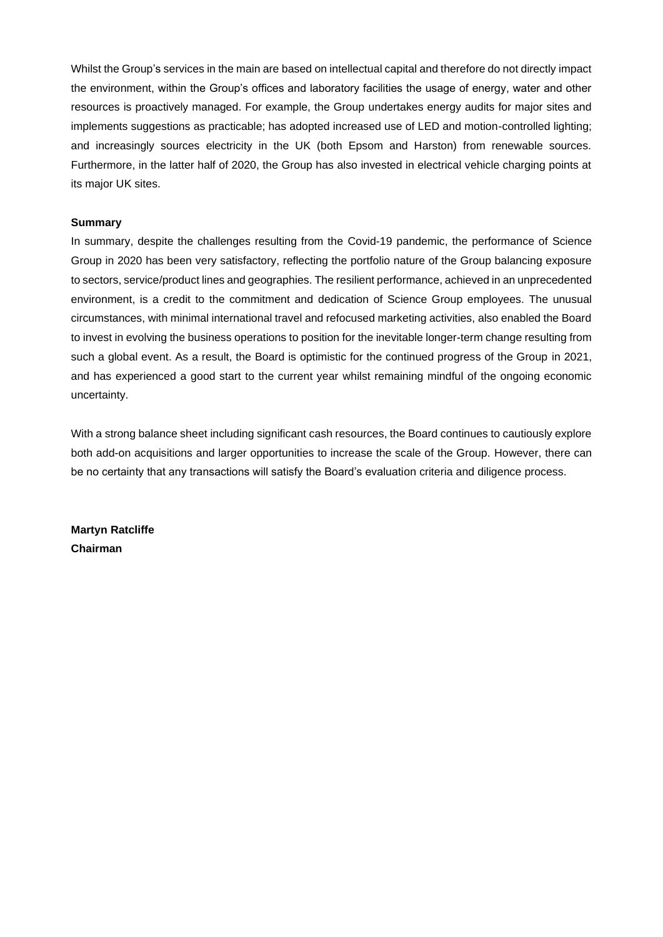Whilst the Group's services in the main are based on intellectual capital and therefore do not directly impact the environment, within the Group's offices and laboratory facilities the usage of energy, water and other resources is proactively managed. For example, the Group undertakes energy audits for major sites and implements suggestions as practicable; has adopted increased use of LED and motion-controlled lighting; and increasingly sources electricity in the UK (both Epsom and Harston) from renewable sources. Furthermore, in the latter half of 2020, the Group has also invested in electrical vehicle charging points at its major UK sites.

#### **Summary**

In summary, despite the challenges resulting from the Covid-19 pandemic, the performance of Science Group in 2020 has been very satisfactory, reflecting the portfolio nature of the Group balancing exposure to sectors, service/product lines and geographies. The resilient performance, achieved in an unprecedented environment, is a credit to the commitment and dedication of Science Group employees. The unusual circumstances, with minimal international travel and refocused marketing activities, also enabled the Board to invest in evolving the business operations to position for the inevitable longer-term change resulting from such a global event. As a result, the Board is optimistic for the continued progress of the Group in 2021, and has experienced a good start to the current year whilst remaining mindful of the ongoing economic uncertainty.

With a strong balance sheet including significant cash resources, the Board continues to cautiously explore both add-on acquisitions and larger opportunities to increase the scale of the Group. However, there can be no certainty that any transactions will satisfy the Board's evaluation criteria and diligence process.

**Martyn Ratcliffe Chairman**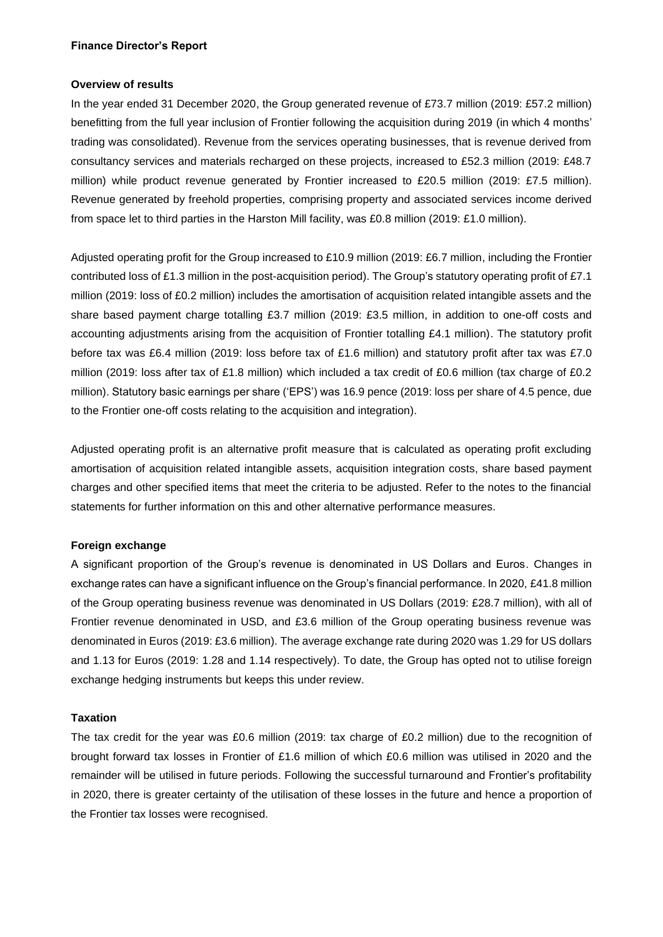#### **Overview of results**

In the year ended 31 December 2020, the Group generated revenue of £73.7 million (2019: £57.2 million) benefitting from the full year inclusion of Frontier following the acquisition during 2019 (in which 4 months' trading was consolidated). Revenue from the services operating businesses, that is revenue derived from consultancy services and materials recharged on these projects, increased to £52.3 million (2019: £48.7 million) while product revenue generated by Frontier increased to £20.5 million (2019: £7.5 million). Revenue generated by freehold properties, comprising property and associated services income derived from space let to third parties in the Harston Mill facility, was £0.8 million (2019: £1.0 million).

Adjusted operating profit for the Group increased to £10.9 million (2019: £6.7 million, including the Frontier contributed loss of £1.3 million in the post-acquisition period). The Group's statutory operating profit of £7.1 million (2019: loss of £0.2 million) includes the amortisation of acquisition related intangible assets and the share based payment charge totalling £3.7 million (2019: £3.5 million, in addition to one-off costs and accounting adjustments arising from the acquisition of Frontier totalling £4.1 million). The statutory profit before tax was £6.4 million (2019: loss before tax of £1.6 million) and statutory profit after tax was £7.0 million (2019: loss after tax of £1.8 million) which included a tax credit of £0.6 million (tax charge of £0.2 million). Statutory basic earnings per share ('EPS') was 16.9 pence (2019: loss per share of 4.5 pence, due to the Frontier one-off costs relating to the acquisition and integration).

Adjusted operating profit is an alternative profit measure that is calculated as operating profit excluding amortisation of acquisition related intangible assets, acquisition integration costs, share based payment charges and other specified items that meet the criteria to be adjusted. Refer to the notes to the financial statements for further information on this and other alternative performance measures.

#### **Foreign exchange**

A significant proportion of the Group's revenue is denominated in US Dollars and Euros. Changes in exchange rates can have a significant influence on the Group's financial performance. In 2020, £41.8 million of the Group operating business revenue was denominated in US Dollars (2019: £28.7 million), with all of Frontier revenue denominated in USD, and £3.6 million of the Group operating business revenue was denominated in Euros (2019: £3.6 million). The average exchange rate during 2020 was 1.29 for US dollars and 1.13 for Euros (2019: 1.28 and 1.14 respectively). To date, the Group has opted not to utilise foreign exchange hedging instruments but keeps this under review.

#### **Taxation**

The tax credit for the year was £0.6 million (2019: tax charge of £0.2 million) due to the recognition of brought forward tax losses in Frontier of £1.6 million of which £0.6 million was utilised in 2020 and the remainder will be utilised in future periods. Following the successful turnaround and Frontier's profitability in 2020, there is greater certainty of the utilisation of these losses in the future and hence a proportion of the Frontier tax losses were recognised.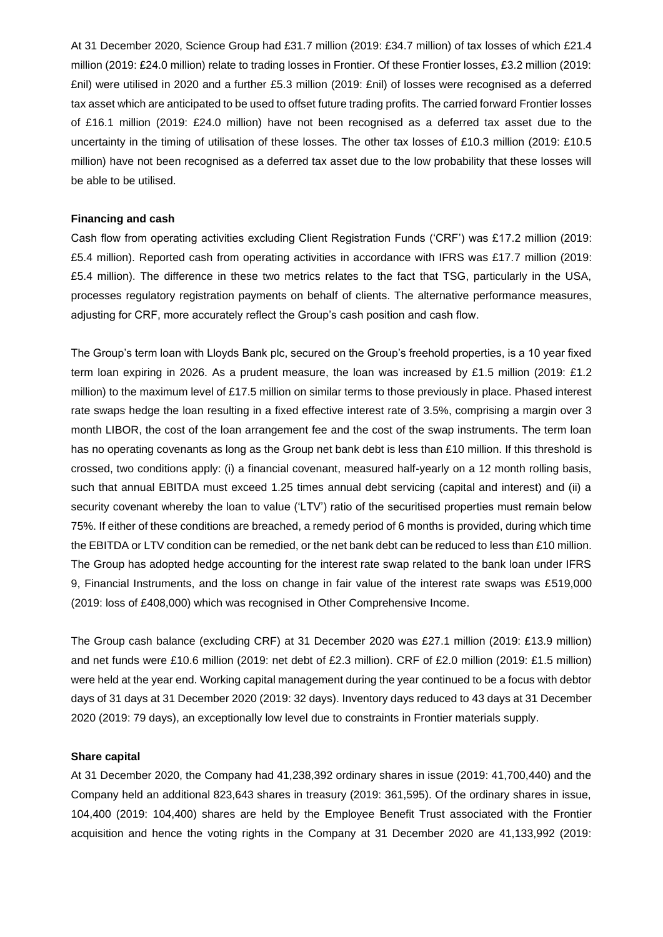At 31 December 2020, Science Group had £31.7 million (2019: £34.7 million) of tax losses of which £21.4 million (2019: £24.0 million) relate to trading losses in Frontier. Of these Frontier losses, £3.2 million (2019: £nil) were utilised in 2020 and a further £5.3 million (2019: £nil) of losses were recognised as a deferred tax asset which are anticipated to be used to offset future trading profits. The carried forward Frontier losses of £16.1 million (2019: £24.0 million) have not been recognised as a deferred tax asset due to the uncertainty in the timing of utilisation of these losses. The other tax losses of £10.3 million (2019: £10.5 million) have not been recognised as a deferred tax asset due to the low probability that these losses will be able to be utilised.

#### **Financing and cash**

Cash flow from operating activities excluding Client Registration Funds ('CRF') was £17.2 million (2019: £5.4 million). Reported cash from operating activities in accordance with IFRS was £17.7 million (2019: £5.4 million). The difference in these two metrics relates to the fact that TSG, particularly in the USA, processes regulatory registration payments on behalf of clients. The alternative performance measures, adjusting for CRF, more accurately reflect the Group's cash position and cash flow.

The Group's term loan with Lloyds Bank plc, secured on the Group's freehold properties, is a 10 year fixed term loan expiring in 2026. As a prudent measure, the loan was increased by £1.5 million (2019: £1.2 million) to the maximum level of £17.5 million on similar terms to those previously in place. Phased interest rate swaps hedge the loan resulting in a fixed effective interest rate of 3.5%, comprising a margin over 3 month LIBOR, the cost of the loan arrangement fee and the cost of the swap instruments. The term loan has no operating covenants as long as the Group net bank debt is less than £10 million. If this threshold is crossed, two conditions apply: (i) a financial covenant, measured half-yearly on a 12 month rolling basis, such that annual EBITDA must exceed 1.25 times annual debt servicing (capital and interest) and (ii) a security covenant whereby the loan to value ('LTV') ratio of the securitised properties must remain below 75%. If either of these conditions are breached, a remedy period of 6 months is provided, during which time the EBITDA or LTV condition can be remedied, or the net bank debt can be reduced to less than £10 million. The Group has adopted hedge accounting for the interest rate swap related to the bank loan under IFRS 9, Financial Instruments, and the loss on change in fair value of the interest rate swaps was £519,000 (2019: loss of £408,000) which was recognised in Other Comprehensive Income.

The Group cash balance (excluding CRF) at 31 December 2020 was £27.1 million (2019: £13.9 million) and net funds were £10.6 million (2019: net debt of £2.3 million). CRF of £2.0 million (2019: £1.5 million) were held at the year end. Working capital management during the year continued to be a focus with debtor days of 31 days at 31 December 2020 (2019: 32 days). Inventory days reduced to 43 days at 31 December 2020 (2019: 79 days), an exceptionally low level due to constraints in Frontier materials supply.

#### **Share capital**

At 31 December 2020, the Company had 41,238,392 ordinary shares in issue (2019: 41,700,440) and the Company held an additional 823,643 shares in treasury (2019: 361,595). Of the ordinary shares in issue, 104,400 (2019: 104,400) shares are held by the Employee Benefit Trust associated with the Frontier acquisition and hence the voting rights in the Company at 31 December 2020 are 41,133,992 (2019: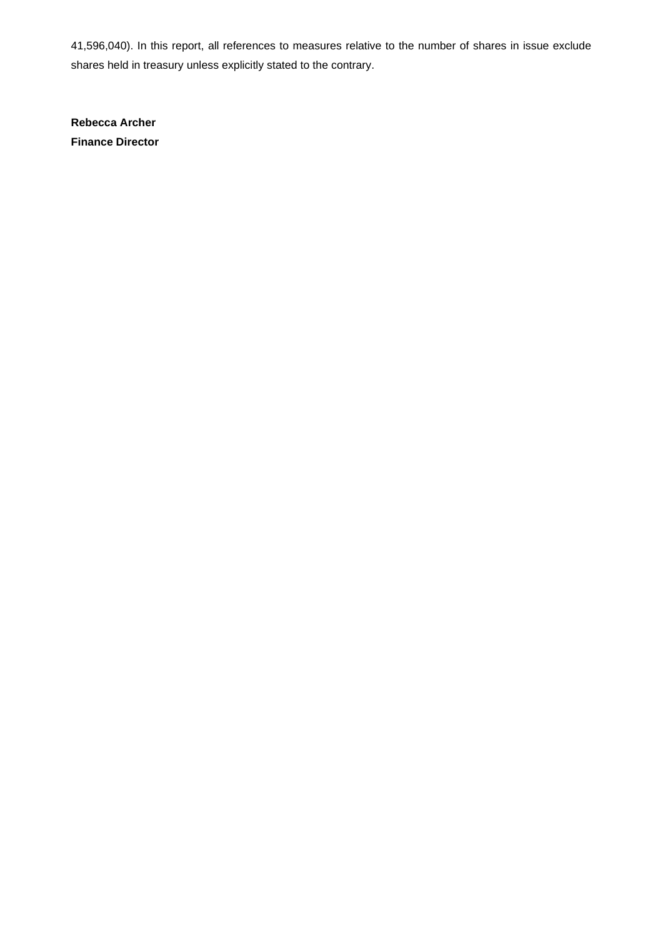41,596,040). In this report, all references to measures relative to the number of shares in issue exclude shares held in treasury unless explicitly stated to the contrary.

**Rebecca Archer Finance Director**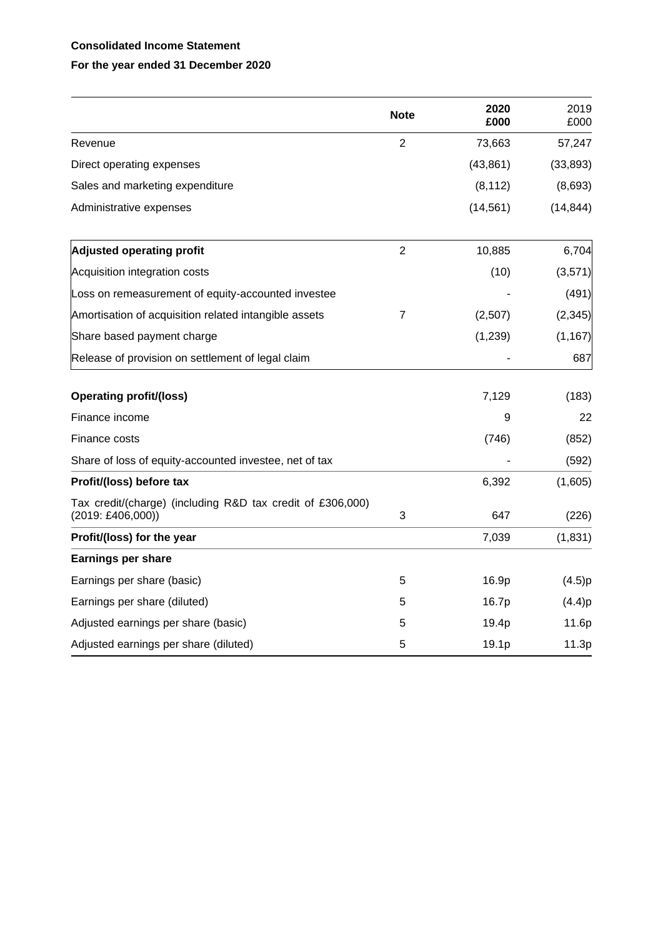## **Consolidated Income Statement**

# **For the year ended 31 December 2020**

|                                                                                                | <b>Note</b>    | 2020<br>£000 | 2019<br>£000 |
|------------------------------------------------------------------------------------------------|----------------|--------------|--------------|
| Revenue                                                                                        | $\overline{2}$ | 73,663       | 57,247       |
| Direct operating expenses                                                                      |                | (43, 861)    | (33, 893)    |
| Sales and marketing expenditure                                                                |                | (8, 112)     | (8,693)      |
| Administrative expenses                                                                        |                | (14, 561)    | (14, 844)    |
| <b>Adjusted operating profit</b>                                                               | $\overline{2}$ | 10,885       | 6,704        |
| Acquisition integration costs                                                                  |                | (10)         | (3,571)      |
| Loss on remeasurement of equity-accounted investee                                             |                |              | (491)        |
| Amortisation of acquisition related intangible assets                                          | $\overline{7}$ | (2,507)      | (2, 345)     |
| Share based payment charge                                                                     |                | (1, 239)     | (1, 167)     |
| Release of provision on settlement of legal claim                                              |                |              | 687          |
| <b>Operating profit/(loss)</b>                                                                 |                | 7,129        | (183)        |
| Finance income                                                                                 |                | 9            | 22           |
| Finance costs                                                                                  |                | (746)        | (852)        |
| Share of loss of equity-accounted investee, net of tax                                         |                |              | (592)        |
| Profit/(loss) before tax                                                                       |                | 6,392        | (1,605)      |
| Tax credit/(charge) (including R&D tax credit of £306,000)<br>$(2019: \text{\pounds}406,000))$ | 3              | 647          | (226)        |
| Profit/(loss) for the year                                                                     |                | 7,039        | (1,831)      |
| <b>Earnings per share</b>                                                                      |                |              |              |
| Earnings per share (basic)                                                                     | 5              | 16.9p        | (4.5)p       |
| Earnings per share (diluted)                                                                   | 5              | 16.7p        | (4.4)p       |
| Adjusted earnings per share (basic)                                                            | 5              | 19.4p        | 11.6p        |
| Adjusted earnings per share (diluted)                                                          | 5              | 19.1p        | 11.3p        |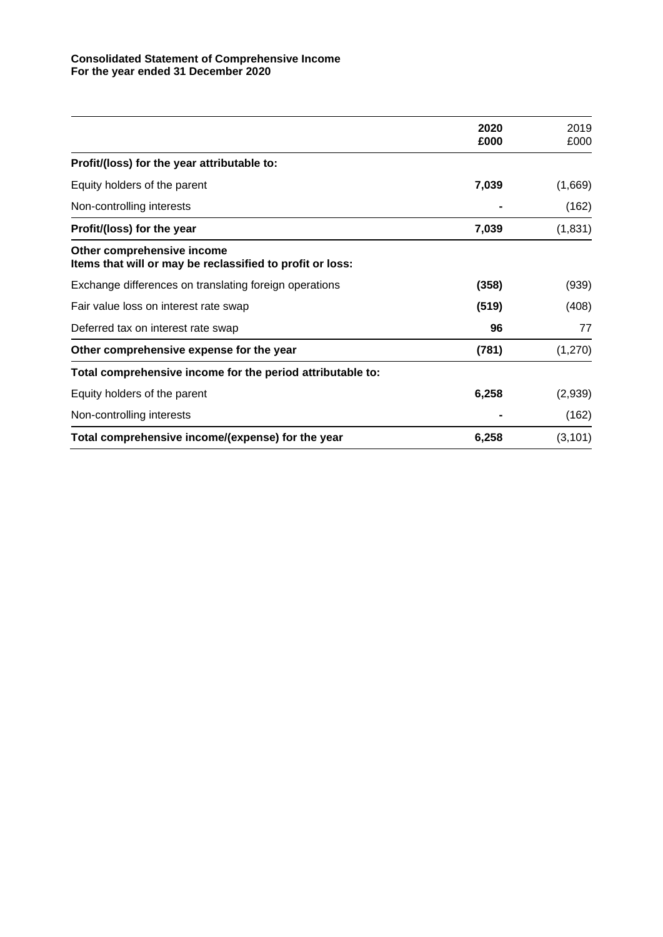#### **Consolidated Statement of Comprehensive Income For the year ended 31 December 2020**

|                                                                                         | 2020  | 2019     |
|-----------------------------------------------------------------------------------------|-------|----------|
|                                                                                         | £000  | £000     |
| Profit/(loss) for the year attributable to:                                             |       |          |
| Equity holders of the parent                                                            | 7,039 | (1,669)  |
| Non-controlling interests                                                               |       | (162)    |
| Profit/(loss) for the year                                                              | 7,039 | (1,831)  |
| Other comprehensive income<br>Items that will or may be reclassified to profit or loss: |       |          |
| Exchange differences on translating foreign operations                                  | (358) | (939)    |
| Fair value loss on interest rate swap                                                   | (519) | (408)    |
| Deferred tax on interest rate swap                                                      | 96    | 77       |
| Other comprehensive expense for the year                                                | (781) | (1,270)  |
| Total comprehensive income for the period attributable to:                              |       |          |
| Equity holders of the parent                                                            | 6,258 | (2,939)  |
| Non-controlling interests                                                               |       | (162)    |
| Total comprehensive income/(expense) for the year                                       | 6,258 | (3, 101) |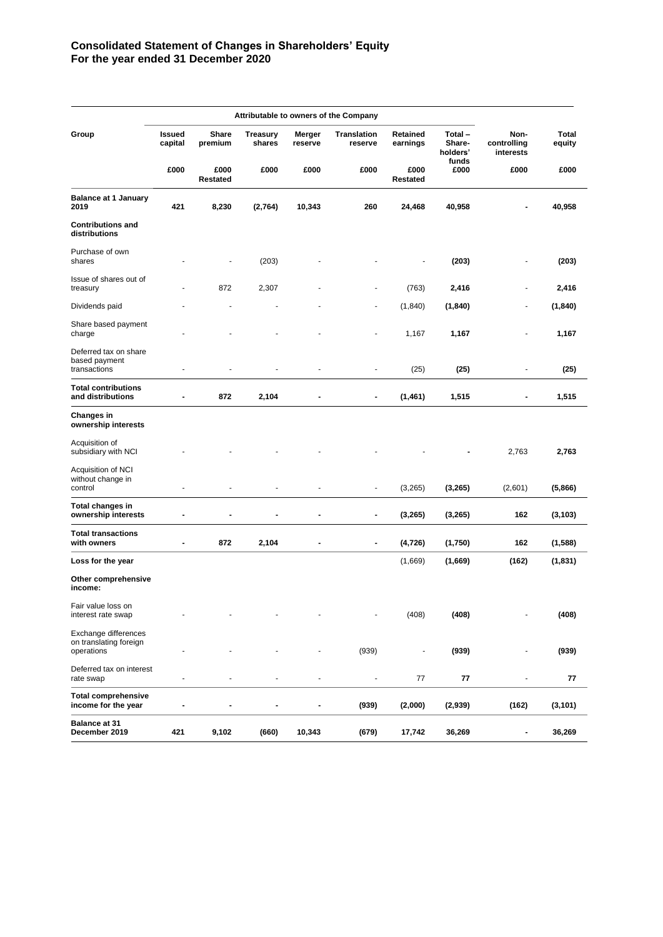#### **Consolidated Statement of Changes in Shareholders' Equity For the year ended 31 December 2020**

|                                                              |                   |                         |                           |                   | Attributable to owners of the Company |                      |                              |                                  |                        |
|--------------------------------------------------------------|-------------------|-------------------------|---------------------------|-------------------|---------------------------------------|----------------------|------------------------------|----------------------------------|------------------------|
| Group                                                        | Issued<br>capital | <b>Share</b><br>premium | <b>Treasury</b><br>shares | Merger<br>reserve | <b>Translation</b><br>reserve         | Retained<br>earnings | Total-<br>Share-<br>holders' | Non-<br>controlling<br>interests | <b>Total</b><br>equity |
|                                                              | £000              | £000<br>Restated        | £000                      | £000              | £000                                  | £000<br>Restated     | funds<br>£000                | £000                             | £000                   |
| <b>Balance at 1 January</b><br>2019                          | 421               | 8,230                   | (2,764)                   | 10,343            | 260                                   | 24,468               | 40,958                       |                                  | 40,958                 |
| <b>Contributions and</b><br>distributions                    |                   |                         |                           |                   |                                       |                      |                              |                                  |                        |
| Purchase of own<br>shares                                    |                   | $\blacksquare$          | (203)                     |                   |                                       |                      | (203)                        | ٠                                | (203)                  |
| Issue of shares out of<br>treasury                           |                   | 872                     | 2,307                     |                   |                                       | (763)                | 2,416                        |                                  | 2,416                  |
| Dividends paid                                               |                   | ٠                       |                           |                   | ٠                                     | (1, 840)             | (1, 840)                     | ٠                                | (1, 840)               |
| Share based payment<br>charge                                |                   |                         |                           |                   | ٠                                     | 1,167                | 1,167                        | $\qquad \qquad \blacksquare$     | 1,167                  |
| Deferred tax on share<br>based payment<br>transactions       | Ĭ.                |                         |                           |                   |                                       | (25)                 | (25)                         | $\overline{\phantom{a}}$         | (25)                   |
| <b>Total contributions</b><br>and distributions              | Ĭ.                | 872                     | 2,104                     |                   | ۰                                     | (1,461)              | 1,515                        |                                  | 1,515                  |
| <b>Changes in</b><br>ownership interests                     |                   |                         |                           |                   |                                       |                      |                              |                                  |                        |
| Acquisition of<br>subsidiary with NCI                        |                   |                         |                           |                   |                                       |                      |                              | 2,763                            | 2,763                  |
| Acquisition of NCI<br>without change in<br>control           | ä,                | ä,                      |                           | ä,                | $\overline{\phantom{a}}$              | (3,265)              | (3, 265)                     | (2,601)                          | (5,866)                |
| <b>Total changes in</b><br>ownership interests               | $\blacksquare$    | ٠                       | ۰                         |                   | $\blacksquare$                        | (3, 265)             | (3,265)                      | 162                              | (3, 103)               |
| <b>Total transactions</b><br>with owners                     | -                 | 872                     | 2,104                     |                   | $\blacksquare$                        | (4, 726)             | (1,750)                      | 162                              | (1,588)                |
| Loss for the year                                            |                   |                         |                           |                   |                                       | (1,669)              | (1,669)                      | (162)                            | (1, 831)               |
| Other comprehensive<br>income:                               |                   |                         |                           |                   |                                       |                      |                              |                                  |                        |
| Fair value loss on<br>interest rate swap                     |                   |                         |                           |                   |                                       | (408)                | (408)                        |                                  | (408)                  |
| Exchange differences<br>on translating foreign<br>operations |                   |                         |                           |                   | (939)                                 | ÷                    | (939)                        |                                  | (939)                  |
| Deferred tax on interest<br>rate swap                        | ÷,                | ä,                      |                           |                   | ÷,                                    | 77                   | 77                           | ä,                               | 77                     |
| <b>Total comprehensive</b><br>income for the year            |                   |                         | -                         |                   | (939)                                 | (2,000)              | (2,939)                      | (162)                            | (3, 101)               |
| <b>Balance at 31</b><br>December 2019                        | 421               | 9,102                   | (660)                     | 10,343            | (679)                                 | 17,742               | 36,269                       | -                                | 36,269                 |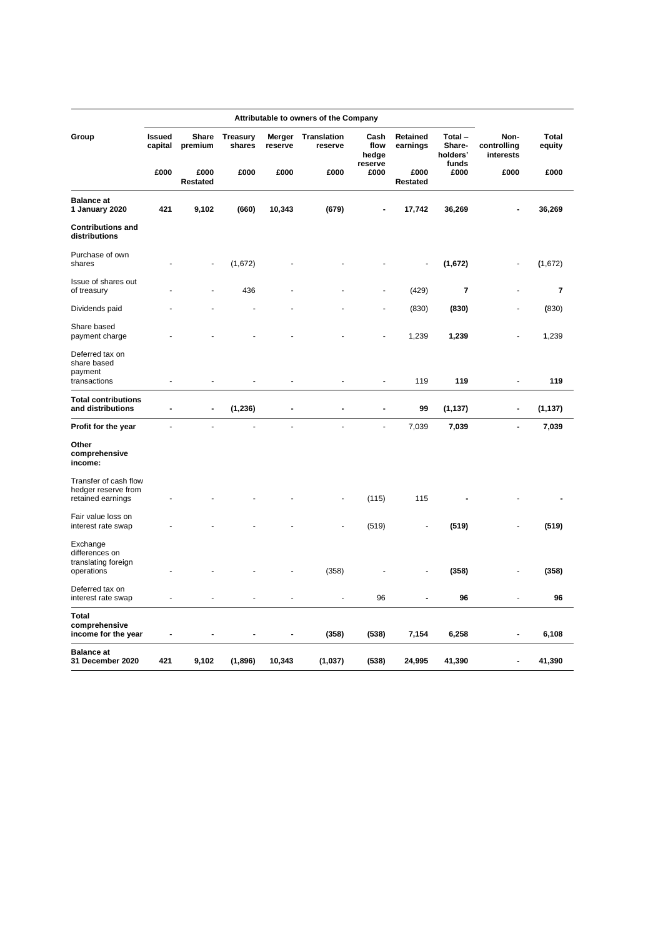|                                                                   |                          | Attributable to owners of the Company |                           |                   |                               |                       |                         |                              |                                  |                        |
|-------------------------------------------------------------------|--------------------------|---------------------------------------|---------------------------|-------------------|-------------------------------|-----------------------|-------------------------|------------------------------|----------------------------------|------------------------|
| Group                                                             | <b>Issued</b><br>capital | Share<br>premium                      | <b>Treasury</b><br>shares | Merger<br>reserve | <b>Translation</b><br>reserve | Cash<br>flow<br>hedge | Retained<br>earnings    | Total-<br>Share-<br>holders' | Non-<br>controlling<br>interests | <b>Total</b><br>equity |
|                                                                   | £000                     | £000<br><b>Restated</b>               | £000                      | £000              | £000                          | reserve<br>£000       | £000<br><b>Restated</b> | funds<br>£000                | £000                             | £000                   |
| <b>Balance at</b><br>1 January 2020                               | 421                      | 9,102                                 | (660)                     | 10,343            | (679)                         |                       | 17,742                  | 36,269                       |                                  | 36,269                 |
| <b>Contributions and</b><br>distributions                         |                          |                                       |                           |                   |                               |                       |                         |                              |                                  |                        |
| Purchase of own<br>shares                                         |                          |                                       | (1,672)                   |                   |                               |                       | ÷,                      | (1,672)                      |                                  | (1,672)                |
| Issue of shares out<br>of treasury                                |                          |                                       | 436                       |                   |                               |                       | (429)                   | 7                            |                                  | 7                      |
| Dividends paid                                                    |                          |                                       |                           |                   |                               |                       | (830)                   | (830)                        |                                  | (830)                  |
| Share based<br>payment charge                                     |                          |                                       |                           |                   |                               |                       | 1,239                   | 1,239                        | ä,                               | 1,239                  |
| Deferred tax on<br>share based<br>payment                         |                          |                                       |                           |                   |                               |                       |                         |                              |                                  |                        |
| transactions                                                      | L,                       | ÷,                                    |                           | $\overline{a}$    | L,                            | ÷,                    | 119                     | 119                          | ÷                                | 119                    |
| <b>Total contributions</b><br>and distributions                   | $\blacksquare$           | $\overline{a}$                        | (1, 236)                  | $\overline{a}$    | ÷,                            | $\overline{a}$        | 99                      | (1, 137)                     | $\overline{a}$                   | (1, 137)               |
| Profit for the year                                               |                          |                                       |                           | L                 |                               | ÷,                    | 7,039                   | 7,039                        | $\overline{a}$                   | 7,039                  |
| Other<br>comprehensive<br>income:                                 |                          |                                       |                           |                   |                               |                       |                         |                              |                                  |                        |
| Transfer of cash flow<br>hedger reserve from<br>retained earnings |                          |                                       |                           |                   |                               | (115)                 | 115                     |                              |                                  |                        |
| Fair value loss on<br>interest rate swap                          |                          |                                       |                           |                   |                               | (519)                 |                         | (519)                        |                                  | (519)                  |
| Exchange<br>differences on<br>translating foreign                 |                          |                                       |                           |                   |                               |                       |                         |                              |                                  |                        |
| operations                                                        |                          |                                       |                           |                   | (358)                         |                       |                         | (358)                        |                                  | (358)                  |
| Deferred tax on<br>interest rate swap                             |                          |                                       |                           | $\overline{a}$    | $\overline{a}$                | 96                    | ۰                       | 96                           | ä,                               | 96                     |
| <b>Total</b><br>comprehensive                                     |                          |                                       |                           |                   |                               |                       |                         |                              |                                  |                        |
| income for the year                                               |                          |                                       |                           | Ĭ.                | (358)                         | (538)                 | 7,154                   | 6,258                        | $\blacksquare$                   | 6,108                  |
| <b>Balance at</b><br>31 December 2020                             | 421                      | 9,102                                 | (1,896)                   | 10,343            | (1,037)                       | (538)                 | 24,995                  | 41,390                       | $\overline{\phantom{a}}$         | 41,390                 |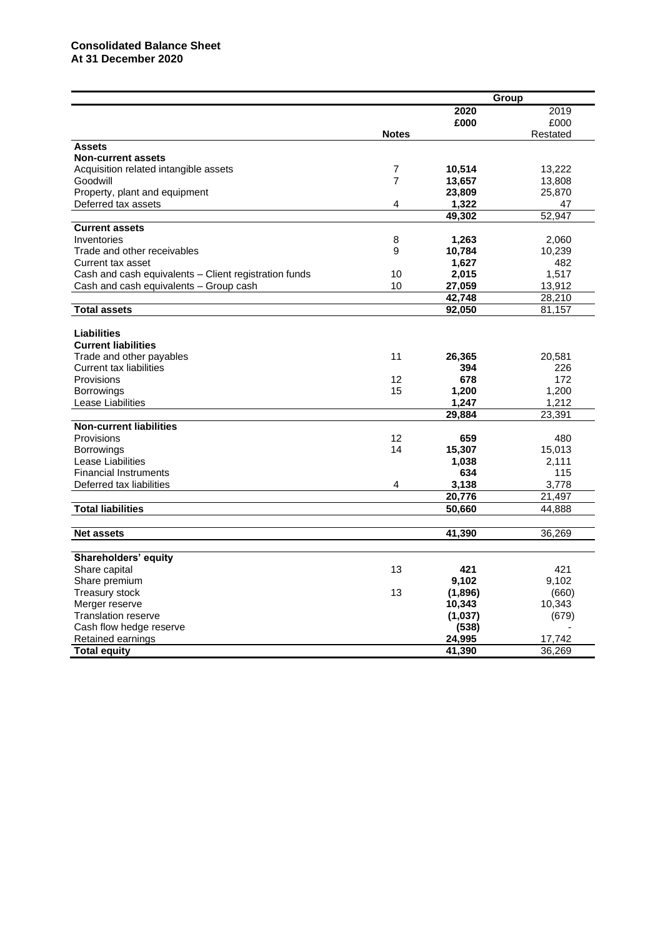|                                                       |                |                 | Group    |
|-------------------------------------------------------|----------------|-----------------|----------|
|                                                       |                | 2020            | 2019     |
|                                                       |                | £000            | £000     |
|                                                       | <b>Notes</b>   |                 | Restated |
| <b>Assets</b>                                         |                |                 |          |
| <b>Non-current assets</b>                             |                |                 |          |
| Acquisition related intangible assets                 | $\overline{7}$ | 10,514          | 13,222   |
| Goodwill                                              | $\overline{7}$ | 13,657          | 13,808   |
| Property, plant and equipment                         |                | 23,809          | 25,870   |
| Deferred tax assets                                   | 4              | 1,322           | 47       |
|                                                       |                | 49,302          | 52,947   |
| <b>Current assets</b>                                 |                |                 |          |
| Inventories                                           | 8              | 1,263           | 2,060    |
| Trade and other receivables                           | 9              | 10,784          | 10,239   |
| Current tax asset                                     |                | 1,627           | 482      |
| Cash and cash equivalents - Client registration funds | 10             | 2,015           | 1,517    |
| Cash and cash equivalents - Group cash                | 10             | 27,059          | 13,912   |
|                                                       |                | 42,748          | 28,210   |
| <b>Total assets</b>                                   |                | 92,050          | 81,157   |
|                                                       |                |                 |          |
| <b>Liabilities</b>                                    |                |                 |          |
| <b>Current liabilities</b>                            |                |                 |          |
| Trade and other payables                              | 11             | 26,365          | 20,581   |
| <b>Current tax liabilities</b>                        |                | 394             | 226      |
| Provisions                                            | 12             | 678             | 172      |
| Borrowings                                            | 15             | 1,200           | 1,200    |
| Lease Liabilities                                     |                | 1,247           | 1,212    |
|                                                       |                | 29,884          | 23,391   |
| <b>Non-current liabilities</b>                        |                |                 |          |
| Provisions                                            | 12             | 659             | 480      |
| <b>Borrowings</b>                                     | 14             | 15,307          | 15,013   |
| Lease Liabilities                                     |                | 1,038           | 2,111    |
| <b>Financial Instruments</b>                          |                | 634             | 115      |
|                                                       | 4              |                 |          |
| Deferred tax liabilities                              |                | 3,138<br>20,776 | 3,778    |
|                                                       |                |                 | 21,497   |
| <b>Total liabilities</b>                              |                | 50,660          | 44,888   |
|                                                       |                |                 |          |
| <b>Net assets</b>                                     |                | 41,390          | 36,269   |
|                                                       |                |                 |          |
| Shareholders' equity                                  |                |                 |          |
| Share capital                                         | 13             | 421             | 421      |
| Share premium                                         |                | 9,102           | 9,102    |
| Treasury stock                                        | 13             | (1,896)         | (660)    |
| Merger reserve                                        |                | 10,343          | 10,343   |
| <b>Translation reserve</b>                            |                | (1,037)         | (679)    |
| Cash flow hedge reserve                               |                | (538)           |          |
| Retained earnings                                     |                | 24,995          | 17,742   |
| <b>Total equity</b>                                   |                | 41.390          | 36,269   |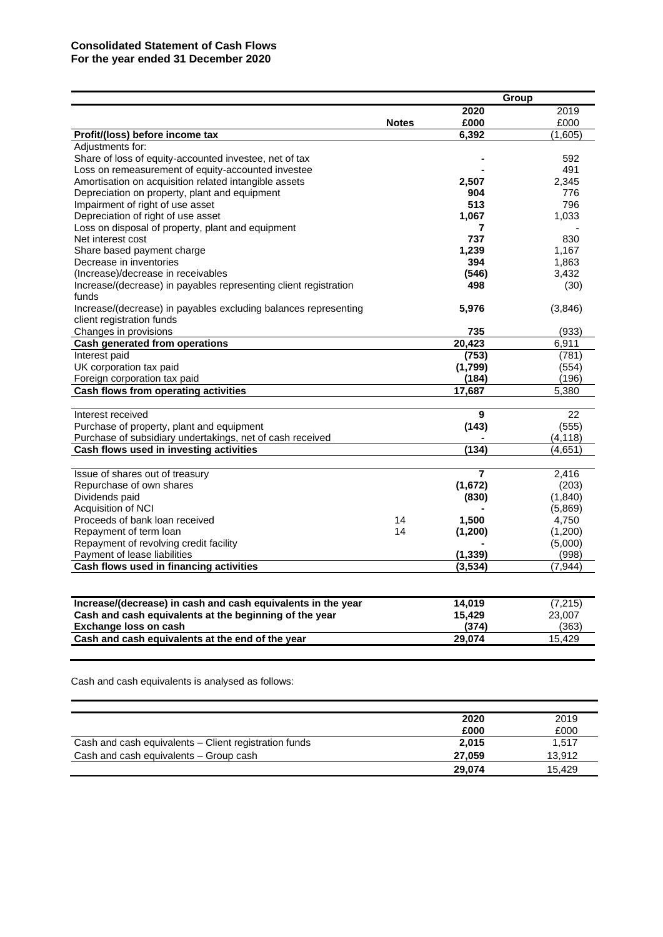#### **Consolidated Statement of Cash Flows For the year ended 31 December 2020**

|                                                                  |              | Group          |          |
|------------------------------------------------------------------|--------------|----------------|----------|
|                                                                  |              | 2020           | 2019     |
|                                                                  | <b>Notes</b> | £000           | £000     |
| Profit/(loss) before income tax                                  |              | 6,392          | (1,605)  |
| Adjustments for:                                                 |              |                |          |
| Share of loss of equity-accounted investee, net of tax           |              |                | 592      |
| Loss on remeasurement of equity-accounted investee               |              |                | 491      |
| Amortisation on acquisition related intangible assets            |              | 2,507          | 2,345    |
| Depreciation on property, plant and equipment                    |              | 904            | 776      |
| Impairment of right of use asset                                 |              | 513            | 796      |
| Depreciation of right of use asset                               |              | 1,067          | 1,033    |
| Loss on disposal of property, plant and equipment                |              | 7              |          |
| Net interest cost                                                |              | 737            | 830      |
| Share based payment charge                                       |              | 1,239          | 1,167    |
| Decrease in inventories                                          |              | 394            | 1,863    |
| (Increase)/decrease in receivables                               |              | (546)          | 3,432    |
| Increase/(decrease) in payables representing client registration |              | 498            | (30)     |
| funds                                                            |              |                |          |
| Increase/(decrease) in payables excluding balances representing  |              | 5,976          | (3,846)  |
| client registration funds                                        |              |                |          |
| Changes in provisions                                            |              | 735            | (933)    |
| Cash generated from operations                                   |              | 20,423         | 6,911    |
| Interest paid                                                    |              | (753)          | (781)    |
| UK corporation tax paid                                          |              | (1,799)        | (554)    |
| Foreign corporation tax paid                                     |              | (184)          | (196)    |
| Cash flows from operating activities                             |              | 17,687         | 5,380    |
|                                                                  |              |                |          |
| Interest received                                                |              | 9              | 22       |
| Purchase of property, plant and equipment                        |              | (143)          | (555)    |
| Purchase of subsidiary undertakings, net of cash received        |              |                | (4, 118) |
| Cash flows used in investing activities                          |              | (134)          | (4,651)  |
|                                                                  |              |                |          |
| Issue of shares out of treasury                                  |              | $\overline{7}$ | 2,416    |
| Repurchase of own shares                                         |              | (1,672)        | (203)    |
| Dividends paid                                                   |              | (830)          | (1,840)  |
| Acquisition of NCI                                               |              |                | (5,869)  |
| Proceeds of bank loan received                                   | 14           | 1,500          | 4,750    |
| Repayment of term loan                                           | 14           | (1,200)        | (1,200)  |
| Repayment of revolving credit facility                           |              |                | (5,000)  |
| Payment of lease liabilities                                     |              | (1, 339)       | (998)    |
| Cash flows used in financing activities                          |              | (3, 534)       | (7,944)  |
|                                                                  |              |                |          |
| Increase/(decrease) in cash and cash equivalents in the year     |              | 14,019         | (7, 215) |
| Cash and cash equivalents at the beginning of the year           |              | 15,429         | 23,007   |
| <b>Exchange loss on cash</b>                                     |              | (374)          | (363)    |
| Cash and cash equivalents at the end of the year                 |              | 29,074         | 15.429   |
|                                                                  |              |                |          |
|                                                                  |              |                |          |

Cash and cash equivalents is analysed as follows:

|                                                       | 2020   | 2019   |
|-------------------------------------------------------|--------|--------|
|                                                       | £000   | £000   |
| Cash and cash equivalents - Client registration funds | 2.015  | 1.517  |
| Cash and cash equivalents - Group cash                | 27.059 | 13.912 |
|                                                       | 29.074 | 15.429 |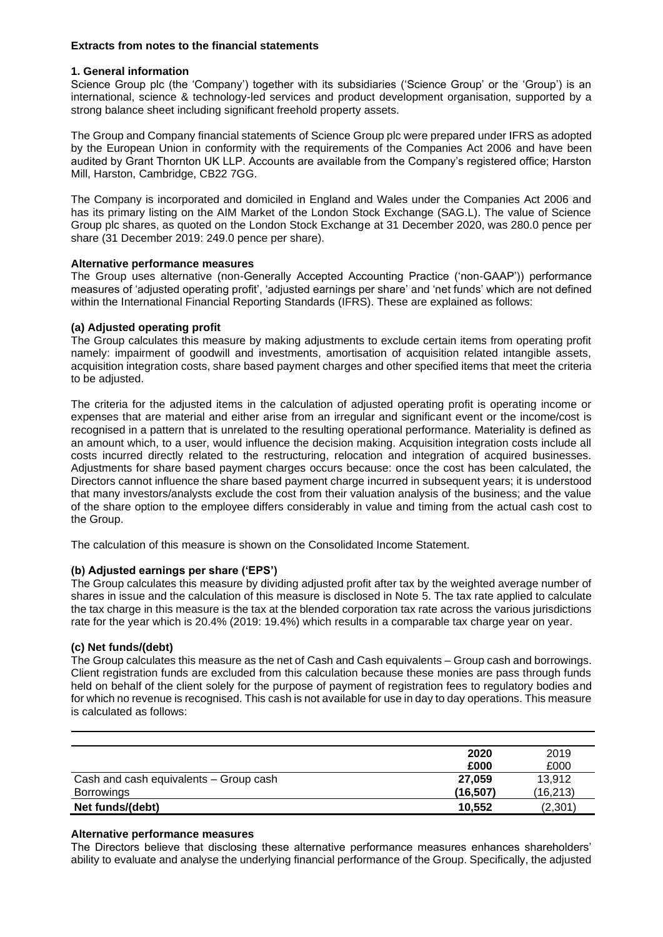#### **Extracts from notes to the financial statements**

#### **1. General information**

Science Group plc (the 'Company') together with its subsidiaries ('Science Group' or the 'Group') is an international, science & technology-led services and product development organisation, supported by a strong balance sheet including significant freehold property assets.

The Group and Company financial statements of Science Group plc were prepared under IFRS as adopted by the European Union in conformity with the requirements of the Companies Act 2006 and have been audited by Grant Thornton UK LLP. Accounts are available from the Company's registered office; Harston Mill, Harston, Cambridge, CB22 7GG.

The Company is incorporated and domiciled in England and Wales under the Companies Act 2006 and has its primary listing on the AIM Market of the London Stock Exchange (SAG.L). The value of Science Group plc shares, as quoted on the London Stock Exchange at 31 December 2020, was 280.0 pence per share (31 December 2019: 249.0 pence per share).

#### **Alternative performance measures**

The Group uses alternative (non-Generally Accepted Accounting Practice ('non-GAAP')) performance measures of 'adjusted operating profit', 'adjusted earnings per share' and 'net funds' which are not defined within the International Financial Reporting Standards (IFRS). These are explained as follows:

#### **(a) Adjusted operating profit**

The Group calculates this measure by making adjustments to exclude certain items from operating profit namely: impairment of goodwill and investments, amortisation of acquisition related intangible assets, acquisition integration costs, share based payment charges and other specified items that meet the criteria to be adjusted.

The criteria for the adjusted items in the calculation of adjusted operating profit is operating income or expenses that are material and either arise from an irregular and significant event or the income/cost is recognised in a pattern that is unrelated to the resulting operational performance. Materiality is defined as an amount which, to a user, would influence the decision making. Acquisition integration costs include all costs incurred directly related to the restructuring, relocation and integration of acquired businesses. Adjustments for share based payment charges occurs because: once the cost has been calculated, the Directors cannot influence the share based payment charge incurred in subsequent years; it is understood that many investors/analysts exclude the cost from their valuation analysis of the business; and the value of the share option to the employee differs considerably in value and timing from the actual cash cost to the Group.

The calculation of this measure is shown on the Consolidated Income Statement.

#### **(b) Adjusted earnings per share ('EPS')**

The Group calculates this measure by dividing adjusted profit after tax by the weighted average number of shares in issue and the calculation of this measure is disclosed in Note 5. The tax rate applied to calculate the tax charge in this measure is the tax at the blended corporation tax rate across the various jurisdictions rate for the year which is 20.4% (2019: 19.4%) which results in a comparable tax charge year on year.

#### **(c) Net funds/(debt)**

The Group calculates this measure as the net of Cash and Cash equivalents – Group cash and borrowings. Client registration funds are excluded from this calculation because these monies are pass through funds held on behalf of the client solely for the purpose of payment of registration fees to regulatory bodies and for which no revenue is recognised. This cash is not available for use in day to day operations. This measure is calculated as follows:

|                                        | 2020<br>£000 | 2019<br>£000 |
|----------------------------------------|--------------|--------------|
| Cash and cash equivalents - Group cash | 27.059       | 13,912       |
| <b>Borrowings</b>                      | (16, 507)    | (16, 213)    |
| Net funds/(debt)                       | 10.552       | (2,301       |

#### **Alternative performance measures**

The Directors believe that disclosing these alternative performance measures enhances shareholders' ability to evaluate and analyse the underlying financial performance of the Group. Specifically, the adjusted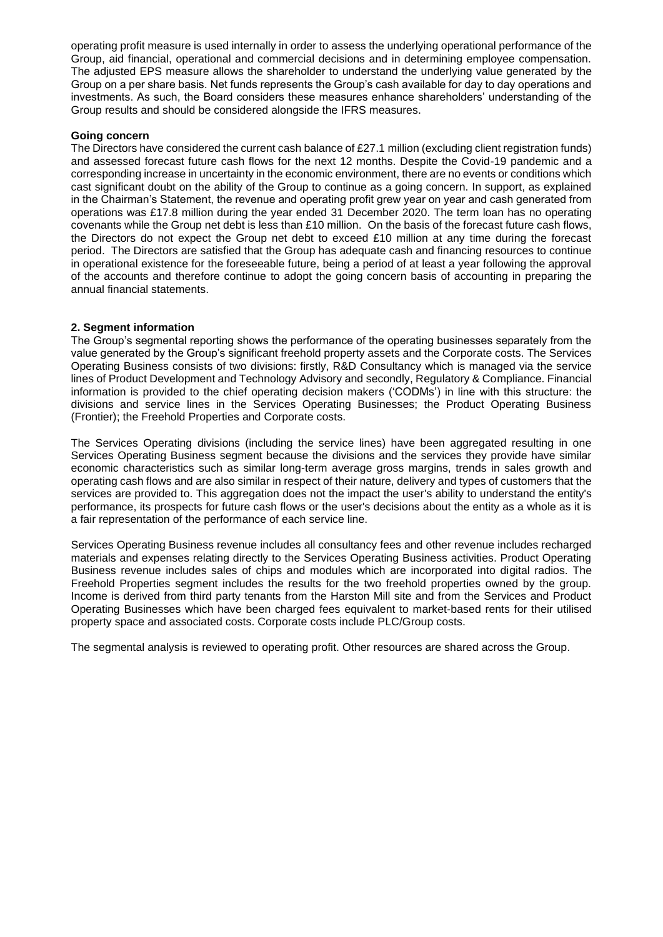operating profit measure is used internally in order to assess the underlying operational performance of the Group, aid financial, operational and commercial decisions and in determining employee compensation. The adjusted EPS measure allows the shareholder to understand the underlying value generated by the Group on a per share basis. Net funds represents the Group's cash available for day to day operations and investments. As such, the Board considers these measures enhance shareholders' understanding of the Group results and should be considered alongside the IFRS measures.

#### **Going concern**

The Directors have considered the current cash balance of £27.1 million (excluding client registration funds) and assessed forecast future cash flows for the next 12 months. Despite the Covid-19 pandemic and a corresponding increase in uncertainty in the economic environment, there are no events or conditions which cast significant doubt on the ability of the Group to continue as a going concern. In support, as explained in the Chairman's Statement, the revenue and operating profit grew year on year and cash generated from operations was £17.8 million during the year ended 31 December 2020. The term loan has no operating covenants while the Group net debt is less than £10 million. On the basis of the forecast future cash flows, the Directors do not expect the Group net debt to exceed £10 million at any time during the forecast period. The Directors are satisfied that the Group has adequate cash and financing resources to continue in operational existence for the foreseeable future, being a period of at least a year following the approval of the accounts and therefore continue to adopt the going concern basis of accounting in preparing the annual financial statements.

#### **2. Segment information**

The Group's segmental reporting shows the performance of the operating businesses separately from the value generated by the Group's significant freehold property assets and the Corporate costs. The Services Operating Business consists of two divisions: firstly, R&D Consultancy which is managed via the service lines of Product Development and Technology Advisory and secondly, Regulatory & Compliance. Financial information is provided to the chief operating decision makers ('CODMs') in line with this structure: the divisions and service lines in the Services Operating Businesses; the Product Operating Business (Frontier); the Freehold Properties and Corporate costs.

The Services Operating divisions (including the service lines) have been aggregated resulting in one Services Operating Business segment because the divisions and the services they provide have similar economic characteristics such as similar long-term average gross margins, trends in sales growth and operating cash flows and are also similar in respect of their nature, delivery and types of customers that the services are provided to. This aggregation does not the impact the user's ability to understand the entity's performance, its prospects for future cash flows or the user's decisions about the entity as a whole as it is a fair representation of the performance of each service line.

Services Operating Business revenue includes all consultancy fees and other revenue includes recharged materials and expenses relating directly to the Services Operating Business activities. Product Operating Business revenue includes sales of chips and modules which are incorporated into digital radios. The Freehold Properties segment includes the results for the two freehold properties owned by the group. Income is derived from third party tenants from the Harston Mill site and from the Services and Product Operating Businesses which have been charged fees equivalent to market-based rents for their utilised property space and associated costs. Corporate costs include PLC/Group costs.

The segmental analysis is reviewed to operating profit. Other resources are shared across the Group.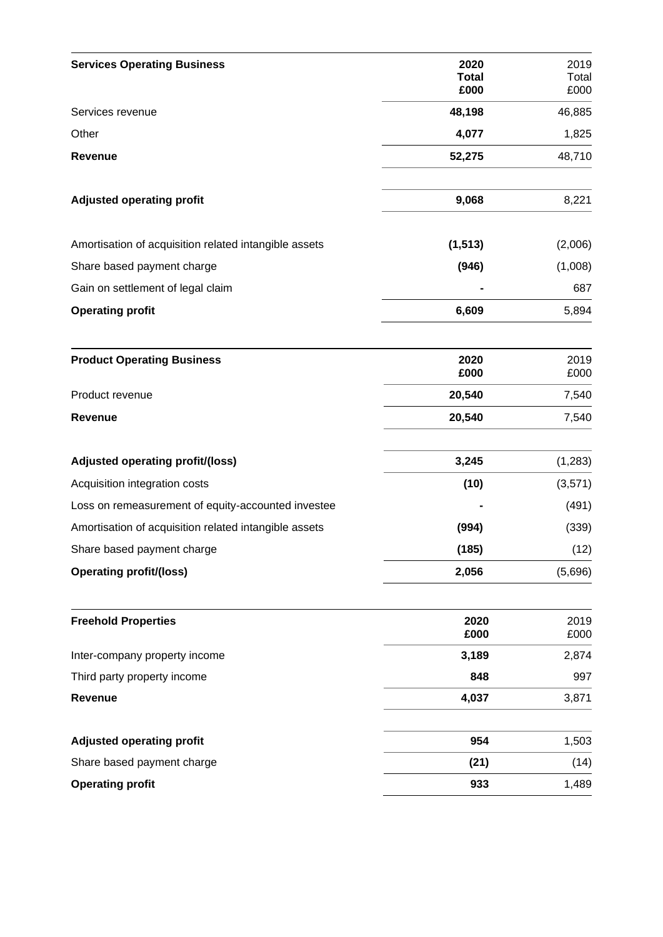| <b>Services Operating Business</b>                    | 2020<br><b>Total</b> | 2019<br>Total |
|-------------------------------------------------------|----------------------|---------------|
|                                                       | £000                 | £000          |
| Services revenue                                      | 48,198               | 46,885        |
| Other                                                 | 4,077                | 1,825         |
| Revenue                                               | 52,275               | 48,710        |
| <b>Adjusted operating profit</b>                      | 9,068                | 8,221         |
| Amortisation of acquisition related intangible assets | (1, 513)             | (2,006)       |
| Share based payment charge                            | (946)                | (1,008)       |
| Gain on settlement of legal claim                     |                      | 687           |
| <b>Operating profit</b>                               | 6,609                | 5,894         |
| <b>Product Operating Business</b>                     | 2020<br>£000         | 2019<br>£000  |
| Product revenue                                       | 20,540               | 7,540         |
| <b>Revenue</b>                                        | 20,540               | 7,540         |
| Adjusted operating profit/(loss)                      | 3,245                | (1, 283)      |
| Acquisition integration costs                         | (10)                 | (3,571)       |
| Loss on remeasurement of equity-accounted investee    |                      | (491)         |
| Amortisation of acquisition related intangible assets | (994)                | (339)         |
| Share based payment charge                            | (185)                | (12)          |
| <b>Operating profit/(loss)</b>                        | 2,056                | (5,696)       |
| <b>Freehold Properties</b>                            | 2020                 | 2019          |
| Inter-company property income                         | £000<br>3,189        | £000<br>2,874 |
| Third party property income                           | 848                  | 997           |
| Revenue                                               | 4,037                | 3,871         |
| <b>Adjusted operating profit</b>                      | 954                  | 1,503         |
| Share based payment charge                            | (21)                 | (14)          |
| <b>Operating profit</b>                               | 933                  | 1,489         |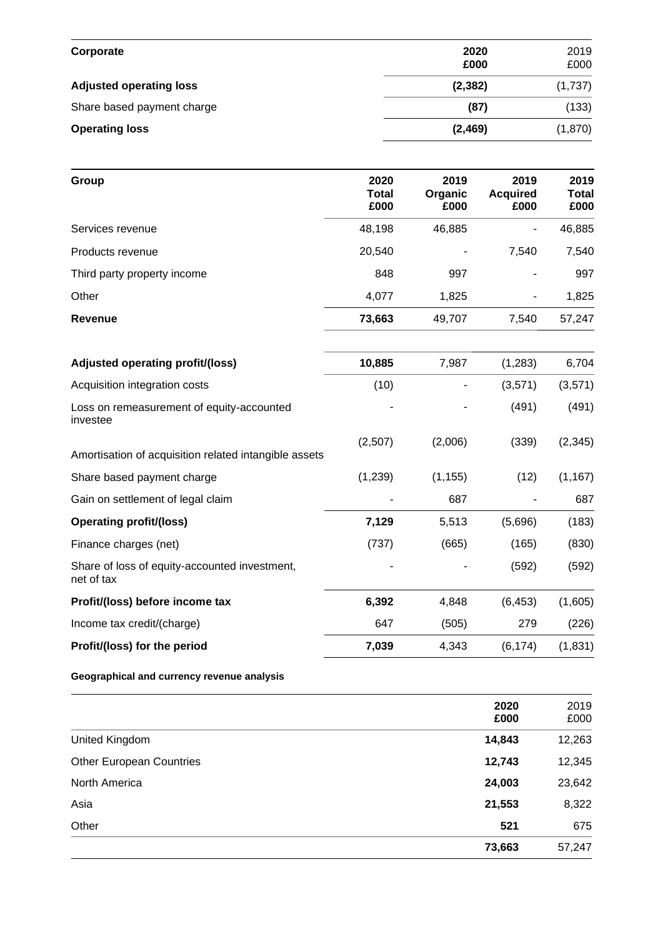| Corporate                      | 2020<br>£000 | 2019<br>£000 |
|--------------------------------|--------------|--------------|
| <b>Adjusted operating loss</b> | (2, 382)     | (1,737)      |
| Share based payment charge     | (87)         | (133)        |
| <b>Operating loss</b>          | (2,469)      | (1,870)      |

| Group                                                       | 2020<br><b>Total</b><br>£000 | 2019<br>Organic<br>£000 | 2019<br><b>Acquired</b><br>£000 | 2019<br><b>Total</b><br>£000 |
|-------------------------------------------------------------|------------------------------|-------------------------|---------------------------------|------------------------------|
| Services revenue                                            | 48,198                       | 46,885                  |                                 | 46,885                       |
| Products revenue                                            | 20,540                       |                         | 7,540                           | 7,540                        |
| Third party property income                                 | 848                          | 997                     |                                 | 997                          |
| Other                                                       | 4,077                        | 1,825                   |                                 | 1,825                        |
| <b>Revenue</b>                                              | 73,663                       | 49,707                  | 7,540                           | 57,247                       |
| Adjusted operating profit/(loss)                            | 10,885                       | 7,987                   | (1, 283)                        | 6,704                        |
| Acquisition integration costs                               | (10)                         |                         | (3,571)                         | (3,571)                      |
| Loss on remeasurement of equity-accounted<br>investee       |                              |                         | (491)                           | (491)                        |
| Amortisation of acquisition related intangible assets       | (2,507)                      | (2,006)                 | (339)                           | (2, 345)                     |
| Share based payment charge                                  | (1, 239)                     | (1, 155)                | (12)                            | (1, 167)                     |
| Gain on settlement of legal claim                           |                              | 687                     |                                 | 687                          |
| <b>Operating profit/(loss)</b>                              | 7,129                        | 5,513                   | (5,696)                         | (183)                        |
| Finance charges (net)                                       | (737)                        | (665)                   | (165)                           | (830)                        |
| Share of loss of equity-accounted investment,<br>net of tax |                              |                         | (592)                           | (592)                        |
| Profit/(loss) before income tax                             | 6,392                        | 4,848                   | (6, 453)                        | (1,605)                      |
| Income tax credit/(charge)                                  | 647                          | (505)                   | 279                             | (226)                        |
| Profit/(loss) for the period                                | 7,039                        | 4,343                   | (6, 174)                        | (1, 831)                     |

#### **Geographical and currency revenue analysis**

|                                 | 2020<br>£000 | 2019<br>£000 |
|---------------------------------|--------------|--------------|
| United Kingdom                  | 14,843       | 12,263       |
| <b>Other European Countries</b> | 12,743       | 12,345       |
| North America                   | 24,003       | 23,642       |
| Asia                            | 21,553       | 8,322        |
| Other                           | 521          | 675          |
|                                 | 73,663       | 57,247       |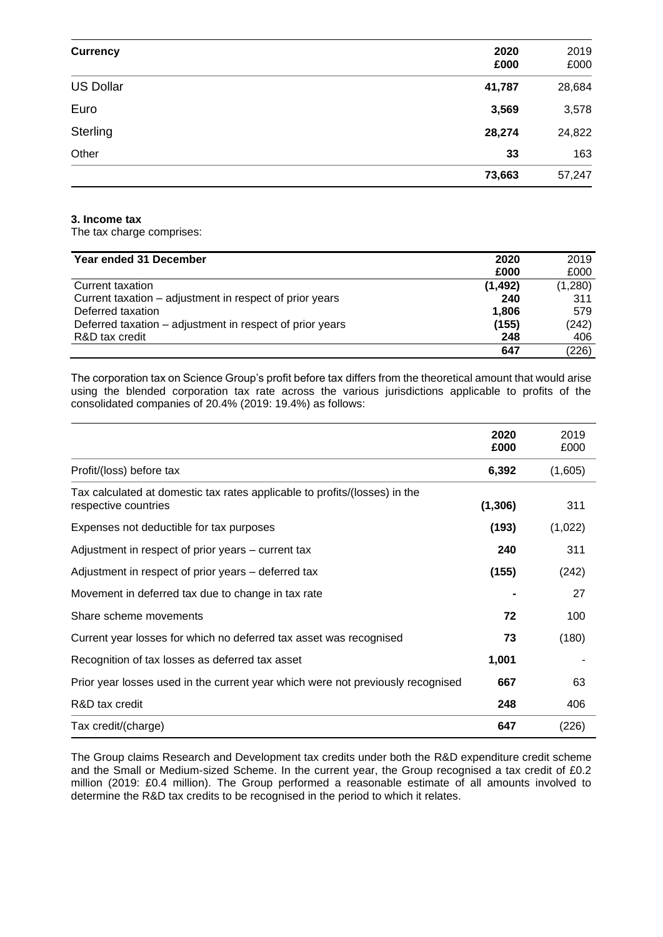| <b>Currency</b>  | 2020   | 2019   |
|------------------|--------|--------|
|                  | £000   | £000   |
| <b>US Dollar</b> | 41,787 | 28,684 |
| Euro             | 3,569  | 3,578  |
| Sterling         | 28,274 | 24,822 |
| Other            | 33     | 163    |
|                  | 73,663 | 57,247 |

#### **3. Income tax**

The tax charge comprises:

| Year ended 31 December                                   | 2020     | 2019    |
|----------------------------------------------------------|----------|---------|
|                                                          | £000     | £000    |
| Current taxation                                         | (1, 492) | (1,280) |
| Current taxation – adjustment in respect of prior years  | 240      | 311     |
| Deferred taxation                                        | 1,806    | 579     |
| Deferred taxation – adjustment in respect of prior years | (155)    | (242)   |
| R&D tax credit                                           | 248      | 406     |
|                                                          | 647      | (226)   |

The corporation tax on Science Group's profit before tax differs from the theoretical amount that would arise using the blended corporation tax rate across the various jurisdictions applicable to profits of the consolidated companies of 20.4% (2019: 19.4%) as follows:

|                                                                                                    | 2020<br>£000 | 2019<br>£000 |
|----------------------------------------------------------------------------------------------------|--------------|--------------|
| Profit/(loss) before tax                                                                           | 6,392        | (1,605)      |
| Tax calculated at domestic tax rates applicable to profits/(losses) in the<br>respective countries | (1, 306)     | 311          |
| Expenses not deductible for tax purposes                                                           | (193)        | (1,022)      |
| Adjustment in respect of prior years – current tax                                                 | 240          | 311          |
| Adjustment in respect of prior years – deferred tax                                                | (155)        | (242)        |
| Movement in deferred tax due to change in tax rate                                                 |              | 27           |
| Share scheme movements                                                                             | 72           | 100          |
| Current year losses for which no deferred tax asset was recognised                                 | 73           | (180)        |
| Recognition of tax losses as deferred tax asset                                                    | 1,001        |              |
| Prior year losses used in the current year which were not previously recognised                    | 667          | 63           |
| R&D tax credit                                                                                     | 248          | 406          |
| Tax credit/(charge)                                                                                | 647          | (226)        |

The Group claims Research and Development tax credits under both the R&D expenditure credit scheme and the Small or Medium-sized Scheme. In the current year, the Group recognised a tax credit of £0.2 million (2019: £0.4 million). The Group performed a reasonable estimate of all amounts involved to determine the R&D tax credits to be recognised in the period to which it relates.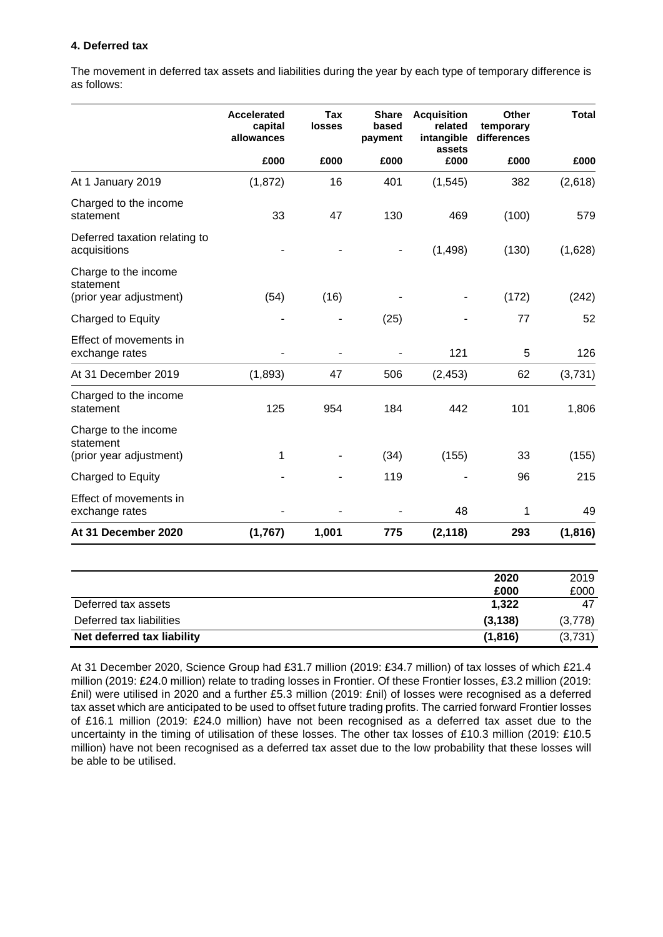#### **4. Deferred tax**

The movement in deferred tax assets and liabilities during the year by each type of temporary difference is as follows:

|                                                              | <b>Accelerated</b><br>capital<br>allowances | <b>Tax</b><br><b>losses</b> | <b>Share</b><br>based<br>payment | <b>Acquisition</b><br>related<br>intangible | Other<br>temporary<br>differences | <b>Total</b> |
|--------------------------------------------------------------|---------------------------------------------|-----------------------------|----------------------------------|---------------------------------------------|-----------------------------------|--------------|
|                                                              | £000                                        | £000                        | £000                             | assets<br>£000                              | £000                              | £000         |
| At 1 January 2019                                            | (1, 872)                                    | 16                          | 401                              | (1, 545)                                    | 382                               | (2,618)      |
| Charged to the income<br>statement                           | 33                                          | 47                          | 130                              | 469                                         | (100)                             | 579          |
| Deferred taxation relating to<br>acquisitions                |                                             |                             |                                  | (1,498)                                     | (130)                             | (1,628)      |
| Charge to the income<br>statement<br>(prior year adjustment) | (54)                                        | (16)                        |                                  |                                             | (172)                             | (242)        |
| Charged to Equity                                            |                                             |                             | (25)                             |                                             | 77                                | 52           |
| Effect of movements in<br>exchange rates                     |                                             |                             |                                  | 121                                         | 5                                 | 126          |
| At 31 December 2019                                          | (1,893)                                     | 47                          | 506                              | (2, 453)                                    | 62                                | (3,731)      |
| Charged to the income<br>statement                           | 125                                         | 954                         | 184                              | 442                                         | 101                               | 1,806        |
| Charge to the income<br>statement<br>(prior year adjustment) | 1                                           |                             | (34)                             | (155)                                       | 33                                | (155)        |
| Charged to Equity                                            |                                             |                             | 119                              |                                             | 96                                | 215          |
| Effect of movements in<br>exchange rates                     |                                             |                             |                                  | 48                                          | 1                                 | 49           |
| At 31 December 2020                                          | (1,767)                                     | 1,001                       | 775                              | (2, 118)                                    | 293                               | (1, 816)     |

|                            | 2020     | 2019    |
|----------------------------|----------|---------|
|                            | £000     | £000    |
| Deferred tax assets        | 1,322    | 47      |
| Deferred tax liabilities   | (3, 138) | (3,778) |
| Net deferred tax liability | (1, 816) | (3,731) |

At 31 December 2020, Science Group had £31.7 million (2019: £34.7 million) of tax losses of which £21.4 million (2019: £24.0 million) relate to trading losses in Frontier. Of these Frontier losses, £3.2 million (2019: £nil) were utilised in 2020 and a further £5.3 million (2019: £nil) of losses were recognised as a deferred tax asset which are anticipated to be used to offset future trading profits. The carried forward Frontier losses of £16.1 million (2019: £24.0 million) have not been recognised as a deferred tax asset due to the uncertainty in the timing of utilisation of these losses. The other tax losses of £10.3 million (2019: £10.5 million) have not been recognised as a deferred tax asset due to the low probability that these losses will be able to be utilised.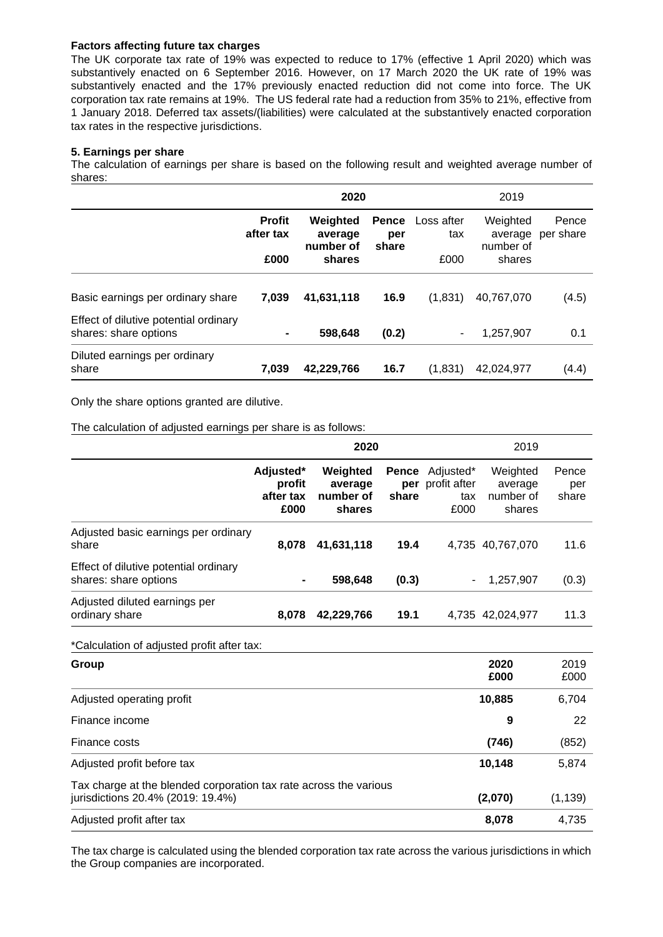#### **Factors affecting future tax charges**

The UK corporate tax rate of 19% was expected to reduce to 17% (effective 1 April 2020) which was substantively enacted on 6 September 2016. However, on 17 March 2020 the UK rate of 19% was substantively enacted and the 17% previously enacted reduction did not come into force. The UK corporation tax rate remains at 19%. The US federal rate had a reduction from 35% to 21%, effective from 1 January 2018. Deferred tax assets/(liabilities) were calculated at the substantively enacted corporation tax rates in the respective jurisdictions.

#### **5. Earnings per share**

The calculation of earnings per share is based on the following result and weighted average number of shares:

|                                                                | 2020                               |                                            |                              | 2019                      |                                            |                    |
|----------------------------------------------------------------|------------------------------------|--------------------------------------------|------------------------------|---------------------------|--------------------------------------------|--------------------|
|                                                                | <b>Profit</b><br>after tax<br>£000 | Weighted<br>average<br>number of<br>shares | <b>Pence</b><br>per<br>share | Loss after<br>tax<br>£000 | Weighted<br>average<br>number of<br>shares | Pence<br>per share |
|                                                                |                                    |                                            |                              |                           |                                            |                    |
| Basic earnings per ordinary share                              | 7,039                              | 41,631,118                                 | 16.9                         | (1,831)                   | 40.767.070                                 | (4.5)              |
| Effect of dilutive potential ordinary<br>shares: share options |                                    | 598,648                                    | (0.2)                        |                           | 1,257,907                                  | 0.1                |
| Diluted earnings per ordinary<br>share                         | 7,039                              | 42,229,766                                 | 16.7                         | (1,831)                   | 42,024,977                                 | (4.4)              |

Only the share options granted are dilutive.

The calculation of adjusted earnings per share is as follows:

|                                                                | 2020                                     |                                            |                       | 2019                                     |                                            |                       |
|----------------------------------------------------------------|------------------------------------------|--------------------------------------------|-----------------------|------------------------------------------|--------------------------------------------|-----------------------|
|                                                                | Adjusted*<br>profit<br>after tax<br>£000 | Weighted<br>average<br>number of<br>shares | Pence<br>per<br>share | Adjusted*<br>profit after<br>tax<br>£000 | Weighted<br>average<br>number of<br>shares | Pence<br>per<br>share |
| Adjusted basic earnings per ordinary<br>share                  | 8.078                                    | 41,631,118                                 | 19.4                  |                                          | 4,735 40,767,070                           | 11.6                  |
| Effect of dilutive potential ordinary<br>shares: share options | $\blacksquare$                           | 598,648                                    | (0.3)                 | ۰                                        | 1,257,907                                  | (0.3)                 |
| Adjusted diluted earnings per<br>ordinary share                | 8.078                                    | 42,229,766                                 | 19.1                  |                                          | 4,735 42,024,977                           | 11.3                  |

\*Calculation of adjusted profit after tax:

| Group                                                                                                  | 2020<br>£000 | 2019<br>£000 |
|--------------------------------------------------------------------------------------------------------|--------------|--------------|
| Adjusted operating profit                                                                              | 10,885       | 6,704        |
| Finance income                                                                                         | 9            | 22           |
| Finance costs                                                                                          | (746)        | (852)        |
| Adjusted profit before tax                                                                             | 10,148       | 5,874        |
| Tax charge at the blended corporation tax rate across the various<br>jurisdictions 20.4% (2019: 19.4%) | (2,070)      | (1, 139)     |
| Adjusted profit after tax                                                                              | 8,078        | 4,735        |

The tax charge is calculated using the blended corporation tax rate across the various jurisdictions in which the Group companies are incorporated.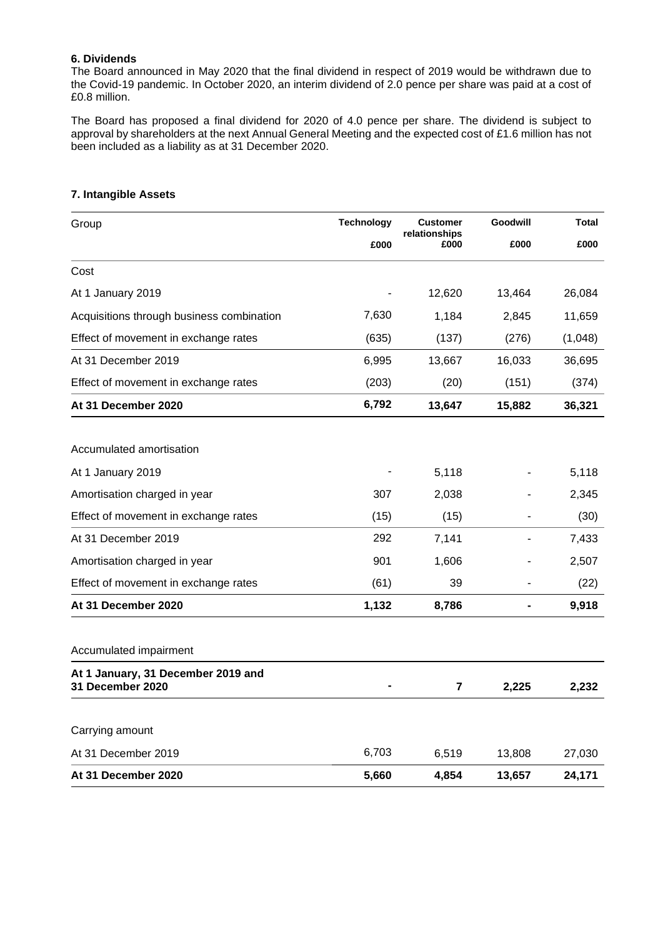#### **6. Dividends**

The Board announced in May 2020 that the final dividend in respect of 2019 would be withdrawn due to the Covid-19 pandemic. In October 2020, an interim dividend of 2.0 pence per share was paid at a cost of £0.8 million.

The Board has proposed a final dividend for 2020 of 4.0 pence per share. The dividend is subject to approval by shareholders at the next Annual General Meeting and the expected cost of £1.6 million has not been included as a liability as at 31 December 2020.

| Group                                                  | <b>Technology</b> | <b>Customer</b>       | Goodwill | <b>Total</b> |
|--------------------------------------------------------|-------------------|-----------------------|----------|--------------|
|                                                        | £000              | relationships<br>£000 | £000     | £000         |
| Cost                                                   |                   |                       |          |              |
| At 1 January 2019                                      |                   | 12,620                | 13,464   | 26,084       |
| Acquisitions through business combination              | 7,630             | 1,184                 | 2,845    | 11,659       |
| Effect of movement in exchange rates                   | (635)             | (137)                 | (276)    | (1,048)      |
| At 31 December 2019                                    | 6,995             | 13,667                | 16,033   | 36,695       |
| Effect of movement in exchange rates                   | (203)             | (20)                  | (151)    | (374)        |
| At 31 December 2020                                    | 6,792             | 13,647                | 15,882   | 36,321       |
|                                                        |                   |                       |          |              |
| Accumulated amortisation                               |                   |                       |          |              |
| At 1 January 2019                                      |                   | 5,118                 |          | 5,118        |
| Amortisation charged in year                           | 307               | 2,038                 |          | 2,345        |
| Effect of movement in exchange rates                   | (15)              | (15)                  |          | (30)         |
| At 31 December 2019                                    | 292               | 7,141                 |          | 7,433        |
| Amortisation charged in year                           | 901               | 1,606                 |          | 2,507        |
| Effect of movement in exchange rates                   | (61)              | 39                    |          | (22)         |
| At 31 December 2020                                    | 1,132             | 8,786                 |          | 9,918        |
| Accumulated impairment                                 |                   |                       |          |              |
| At 1 January, 31 December 2019 and<br>31 December 2020 |                   | 7                     | 2,225    | 2,232        |
|                                                        |                   |                       |          |              |
| Carrying amount                                        |                   |                       |          |              |
| At 31 December 2019                                    | 6,703             | 6,519                 | 13,808   | 27,030       |
| At 31 December 2020                                    | 5,660             | 4,854                 | 13,657   | 24,171       |

#### **7. Intangible Assets**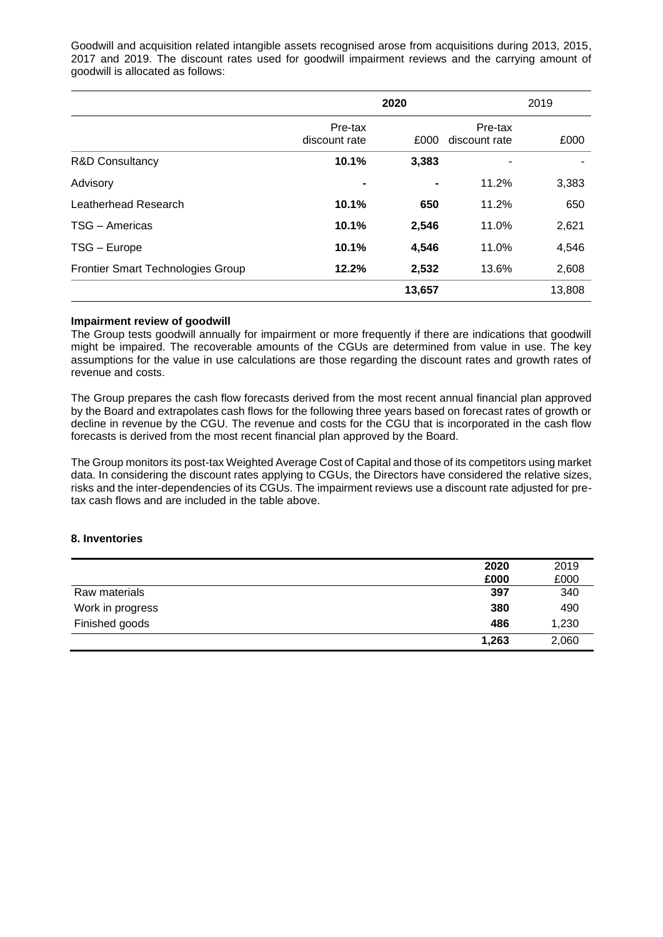Goodwill and acquisition related intangible assets recognised arose from acquisitions during 2013, 2015, 2017 and 2019. The discount rates used for goodwill impairment reviews and the carrying amount of goodwill is allocated as follows:

|                                   | 2020                     |                |                          | 2019   |  |
|-----------------------------------|--------------------------|----------------|--------------------------|--------|--|
|                                   | Pre-tax<br>discount rate | £000           | Pre-tax<br>discount rate | £000   |  |
| <b>R&amp;D Consultancy</b>        | 10.1%                    | 3,383          |                          |        |  |
| Advisory                          |                          | $\blacksquare$ | 11.2%                    | 3,383  |  |
| Leatherhead Research              | 10.1%                    | 650            | 11.2%                    | 650    |  |
| TSG - Americas                    | 10.1%                    | 2,546          | 11.0%                    | 2,621  |  |
| TSG - Europe                      | 10.1%                    | 4,546          | 11.0%                    | 4,546  |  |
| Frontier Smart Technologies Group | 12.2%                    | 2,532          | 13.6%                    | 2,608  |  |
|                                   |                          | 13,657         |                          | 13,808 |  |

#### **Impairment review of goodwill**

The Group tests goodwill annually for impairment or more frequently if there are indications that goodwill might be impaired. The recoverable amounts of the CGUs are determined from value in use. The key assumptions for the value in use calculations are those regarding the discount rates and growth rates of revenue and costs.

The Group prepares the cash flow forecasts derived from the most recent annual financial plan approved by the Board and extrapolates cash flows for the following three years based on forecast rates of growth or decline in revenue by the CGU. The revenue and costs for the CGU that is incorporated in the cash flow forecasts is derived from the most recent financial plan approved by the Board.

The Group monitors its post-tax Weighted Average Cost of Capital and those of its competitors using market data. In considering the discount rates applying to CGUs, the Directors have considered the relative sizes, risks and the inter-dependencies of its CGUs. The impairment reviews use a discount rate adjusted for pretax cash flows and are included in the table above.

#### **8. Inventories**

|                  | 2020  | 2019  |
|------------------|-------|-------|
|                  | £000  | £000  |
| Raw materials    | 397   | 340   |
| Work in progress | 380   | 490   |
| Finished goods   | 486   | 1,230 |
|                  | 1,263 | 2,060 |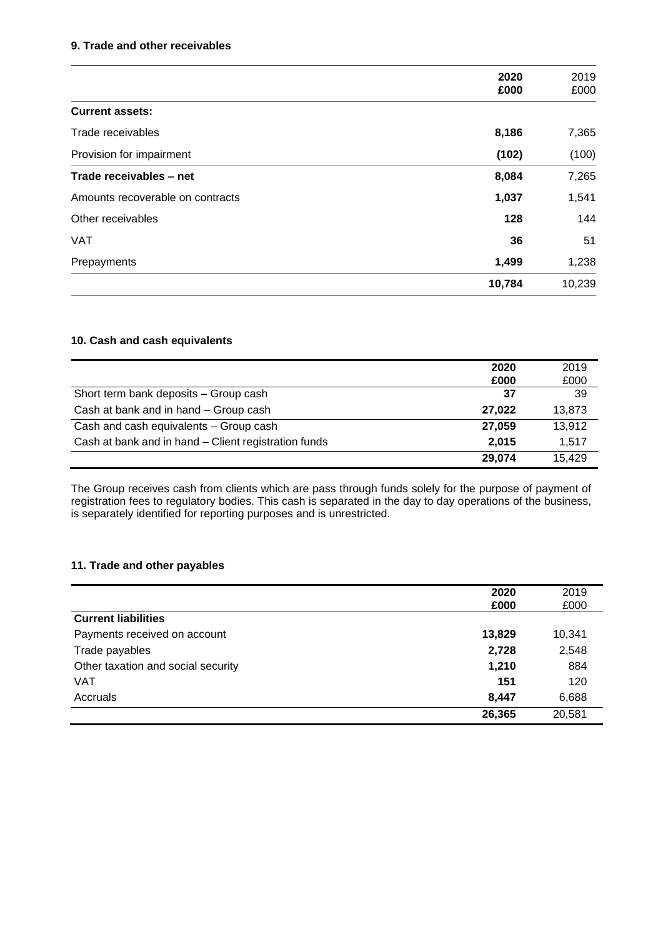#### **9. Trade and other receivables**

|                                  | 2020   | 2019   |
|----------------------------------|--------|--------|
|                                  | £000   | £000   |
| <b>Current assets:</b>           |        |        |
| Trade receivables                | 8,186  | 7,365  |
| Provision for impairment         | (102)  | (100)  |
| Trade receivables - net          | 8,084  | 7,265  |
| Amounts recoverable on contracts | 1,037  | 1,541  |
| Other receivables                | 128    | 144    |
| <b>VAT</b>                       | 36     | 51     |
| Prepayments                      | 1,499  | 1,238  |
|                                  | 10,784 | 10,239 |
|                                  |        |        |

#### **10. Cash and cash equivalents**

|                                                      | 2020<br>£000 | 2019<br>£000 |
|------------------------------------------------------|--------------|--------------|
| Short term bank deposits - Group cash                | 37           | 39           |
| Cash at bank and in hand - Group cash                | 27.022       | 13,873       |
| Cash and cash equivalents - Group cash               | 27.059       | 13,912       |
| Cash at bank and in hand - Client registration funds | 2,015        | 1.517        |
|                                                      | 29.074       | 15,429       |

The Group receives cash from clients which are pass through funds solely for the purpose of payment of registration fees to regulatory bodies. This cash is separated in the day to day operations of the business, is separately identified for reporting purposes and is unrestricted.

#### **11. Trade and other payables**

|                                    | 2020<br>£000 | 2019<br>£000 |
|------------------------------------|--------------|--------------|
| <b>Current liabilities</b>         |              |              |
| Payments received on account       | 13,829       | 10,341       |
| Trade payables                     | 2,728        | 2,548        |
| Other taxation and social security | 1,210        | 884          |
| <b>VAT</b>                         | 151          | 120          |
| Accruals                           | 8,447        | 6,688        |
|                                    | 26,365       | 20,581       |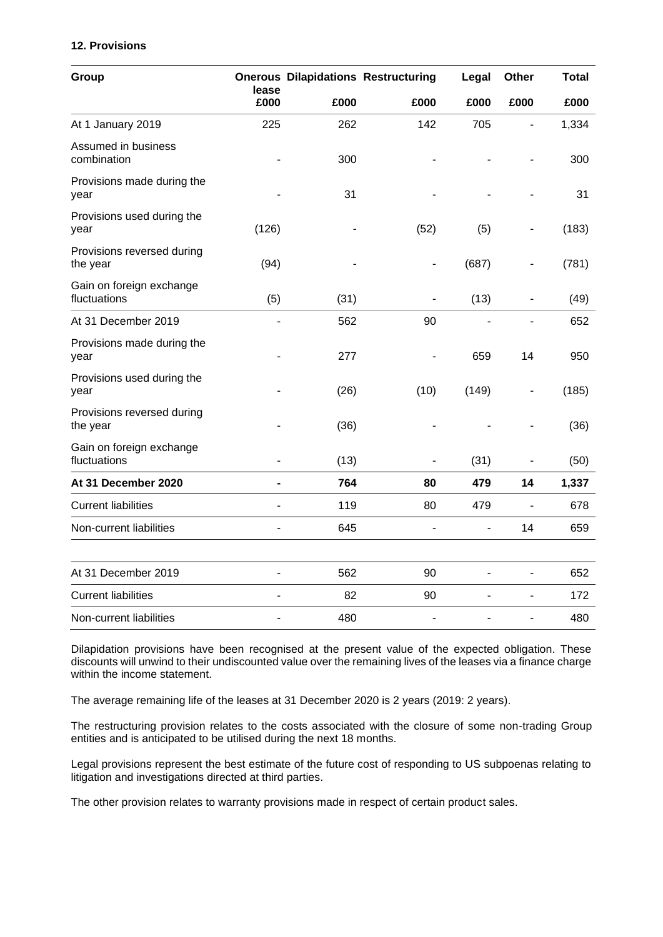#### **12. Provisions**

| Group                                    | lease |      | <b>Onerous Dilapidations Restructuring</b> | Legal | Other | Total |
|------------------------------------------|-------|------|--------------------------------------------|-------|-------|-------|
|                                          | £000  | £000 | £000                                       | £000  | £000  | £000  |
| At 1 January 2019                        | 225   | 262  | 142                                        | 705   |       | 1,334 |
| Assumed in business<br>combination       |       | 300  |                                            |       |       | 300   |
| Provisions made during the<br>year       |       | 31   |                                            |       |       | 31    |
| Provisions used during the<br>year       | (126) |      | (52)                                       | (5)   | ۰     | (183) |
| Provisions reversed during<br>the year   | (94)  |      | $\qquad \qquad \blacksquare$               | (687) | ۰     | (781) |
| Gain on foreign exchange<br>fluctuations | (5)   | (31) | ÷,                                         | (13)  | ÷,    | (49)  |
| At 31 December 2019                      |       | 562  | 90                                         |       |       | 652   |
| Provisions made during the<br>year       |       | 277  |                                            | 659   | 14    | 950   |
| Provisions used during the<br>year       |       | (26) | (10)                                       | (149) | ۰     | (185) |
| Provisions reversed during<br>the year   |       | (36) |                                            |       |       | (36)  |
| Gain on foreign exchange<br>fluctuations |       | (13) |                                            | (31)  |       | (50)  |
| At 31 December 2020                      |       | 764  | 80                                         | 479   | 14    | 1,337 |
| <b>Current liabilities</b>               |       | 119  | 80                                         | 479   | ÷,    | 678   |
| Non-current liabilities                  |       | 645  |                                            |       | 14    | 659   |
| At 31 December 2019                      |       | 562  | 90                                         |       |       | 652   |
| <b>Current liabilities</b>               |       | 82   | 90                                         |       | ä,    | 172   |
| Non-current liabilities                  |       | 480  | $\overline{a}$                             |       |       | 480   |

Dilapidation provisions have been recognised at the present value of the expected obligation. These discounts will unwind to their undiscounted value over the remaining lives of the leases via a finance charge within the income statement.

The average remaining life of the leases at 31 December 2020 is 2 years (2019: 2 years).

The restructuring provision relates to the costs associated with the closure of some non-trading Group entities and is anticipated to be utilised during the next 18 months.

Legal provisions represent the best estimate of the future cost of responding to US subpoenas relating to litigation and investigations directed at third parties.

The other provision relates to warranty provisions made in respect of certain product sales.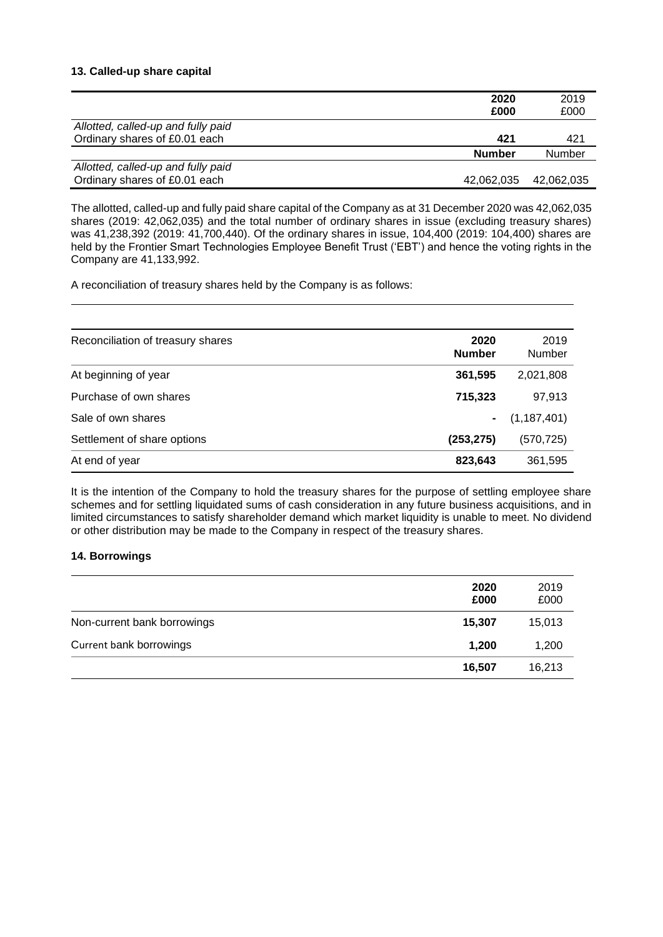#### **13. Called-up share capital**

|                                    | 2020          | 2019          |
|------------------------------------|---------------|---------------|
|                                    | £000          | £000          |
| Allotted, called-up and fully paid |               |               |
| Ordinary shares of £0.01 each      | 421           | 421           |
|                                    | <b>Number</b> | <b>Number</b> |
| Allotted, called-up and fully paid |               |               |
| Ordinary shares of £0.01 each      | 42,062,035    | 42,062,035    |

The allotted, called-up and fully paid share capital of the Company as at 31 December 2020 was 42,062,035 shares (2019: 42,062,035) and the total number of ordinary shares in issue (excluding treasury shares) was 41,238,392 (2019: 41,700,440). Of the ordinary shares in issue, 104,400 (2019: 104,400) shares are held by the Frontier Smart Technologies Employee Benefit Trust ('EBT') and hence the voting rights in the Company are 41,133,992.

A reconciliation of treasury shares held by the Company is as follows:

| Reconciliation of treasury shares | 2020<br><b>Number</b> | 2019<br>Number  |
|-----------------------------------|-----------------------|-----------------|
| At beginning of year              | 361,595               | 2,021,808       |
| Purchase of own shares            | 715,323               | 97,913          |
| Sale of own shares                |                       | $-$ (1,187,401) |
| Settlement of share options       | (253, 275)            | (570, 725)      |
| At end of year                    | 823,643               | 361,595         |

It is the intention of the Company to hold the treasury shares for the purpose of settling employee share schemes and for settling liquidated sums of cash consideration in any future business acquisitions, and in limited circumstances to satisfy shareholder demand which market liquidity is unable to meet. No dividend or other distribution may be made to the Company in respect of the treasury shares.

#### **14. Borrowings**

|                             | 2020<br>£000 | 2019<br>£000 |
|-----------------------------|--------------|--------------|
| Non-current bank borrowings | 15,307       | 15,013       |
| Current bank borrowings     | 1,200        | 1,200        |
|                             | 16,507       | 16,213       |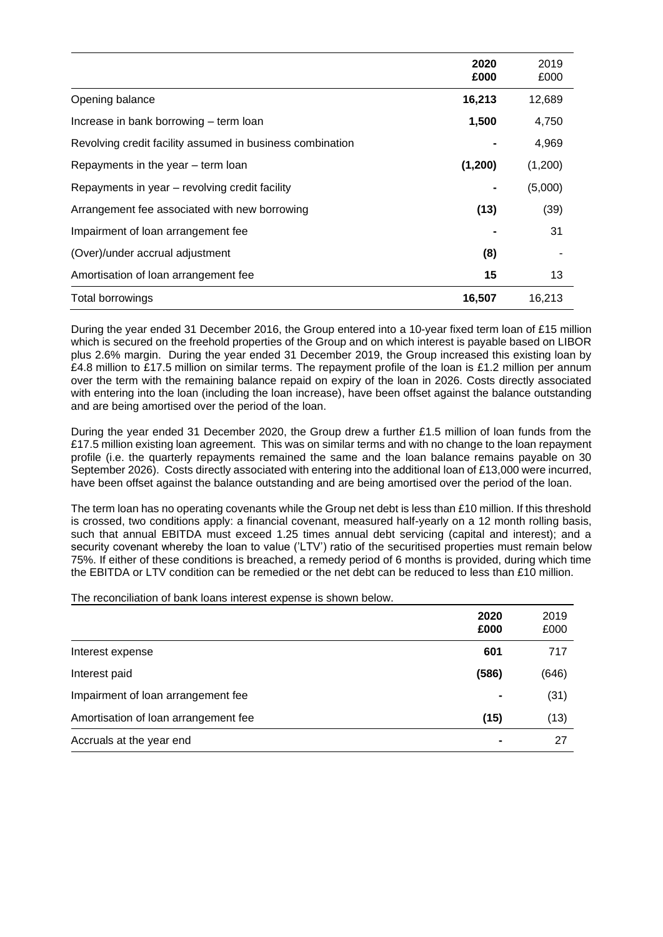|                                                           | 2020<br>£000 | 2019<br>£000 |
|-----------------------------------------------------------|--------------|--------------|
| Opening balance                                           | 16,213       | 12,689       |
| Increase in bank borrowing – term loan                    | 1,500        | 4,750        |
| Revolving credit facility assumed in business combination |              | 4,969        |
| Repayments in the year – term loan                        | (1,200)      | (1,200)      |
| Repayments in year – revolving credit facility            |              | (5,000)      |
| Arrangement fee associated with new borrowing             | (13)         | (39)         |
| Impairment of loan arrangement fee                        |              | 31           |
| (Over)/under accrual adjustment                           | (8)          |              |
| Amortisation of loan arrangement fee                      | 15           | 13           |
| Total borrowings                                          | 16,507       | 16,213       |

During the year ended 31 December 2016, the Group entered into a 10-year fixed term loan of £15 million which is secured on the freehold properties of the Group and on which interest is payable based on LIBOR plus 2.6% margin. During the year ended 31 December 2019, the Group increased this existing loan by £4.8 million to £17.5 million on similar terms. The repayment profile of the loan is £1.2 million per annum over the term with the remaining balance repaid on expiry of the loan in 2026. Costs directly associated with entering into the loan (including the loan increase), have been offset against the balance outstanding and are being amortised over the period of the loan.

During the year ended 31 December 2020, the Group drew a further £1.5 million of loan funds from the £17.5 million existing loan agreement. This was on similar terms and with no change to the loan repayment profile (i.e. the quarterly repayments remained the same and the loan balance remains payable on 30 September 2026). Costs directly associated with entering into the additional loan of £13,000 were incurred, have been offset against the balance outstanding and are being amortised over the period of the loan.

The term loan has no operating covenants while the Group net debt is less than £10 million. If this threshold is crossed, two conditions apply: a financial covenant, measured half-yearly on a 12 month rolling basis, such that annual EBITDA must exceed 1.25 times annual debt servicing (capital and interest); and a security covenant whereby the loan to value ('LTV') ratio of the securitised properties must remain below 75%. If either of these conditions is breached, a remedy period of 6 months is provided, during which time the EBITDA or LTV condition can be remedied or the net debt can be reduced to less than £10 million.

The reconciliation of bank loans interest expense is shown below.

|                                      | 2020<br>£000 | 2019<br>£000 |
|--------------------------------------|--------------|--------------|
| Interest expense                     | 601          | 717          |
| Interest paid                        | (586)        | (646)        |
| Impairment of loan arrangement fee   |              | (31)         |
| Amortisation of loan arrangement fee | (15)         | (13)         |
| Accruals at the year end             |              | 27           |